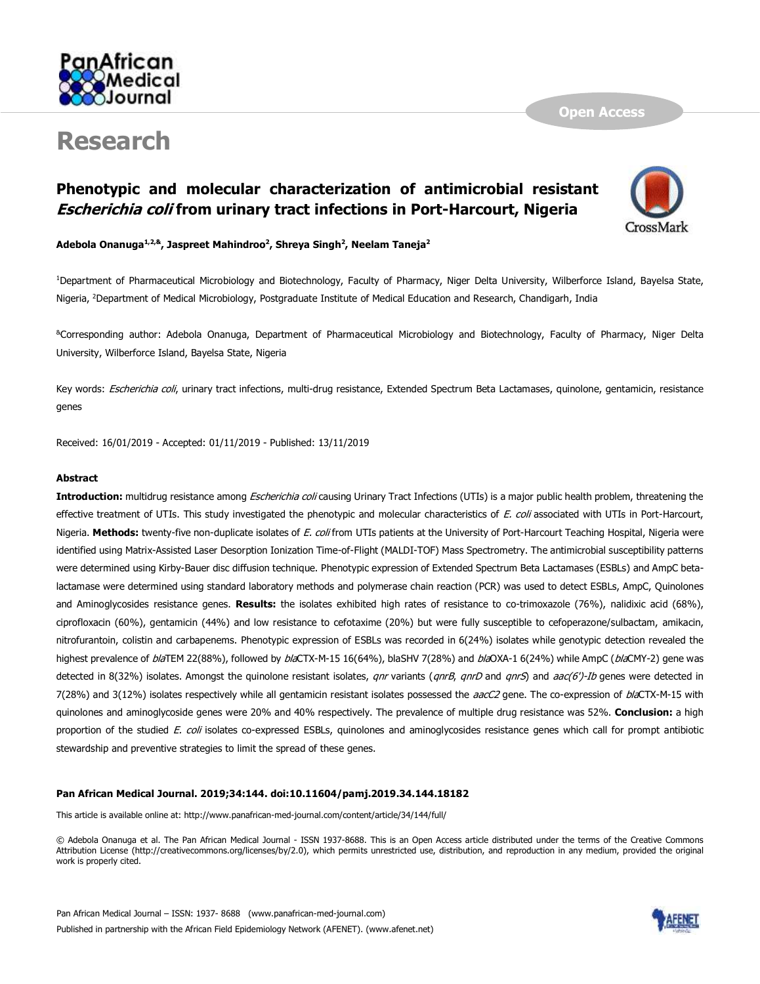

# **Research**

# **Phenotypic and molecular characterization of antimicrobial resistant Escherichia coli from urinary tract infections in Port-Harcourt, Nigeria**



**Open Access**

**Adebola Onanuga1,2,& , Jaspreet Mahindroo<sup>2</sup> , Shreya Singh<sup>2</sup> , Neelam Taneja<sup>2</sup>**

<sup>1</sup>Department of Pharmaceutical Microbiology and Biotechnology, Faculty of Pharmacy, Niger Delta University, Wilberforce Island, Bayelsa State, Nigeria, <sup>2</sup>Department of Medical Microbiology, Postgraduate Institute of Medical Education and Research, Chandigarh, India

&Corresponding author: Adebola Onanuga, Department of Pharmaceutical Microbiology and Biotechnology, Faculty of Pharmacy, Niger Delta University, Wilberforce Island, Bayelsa State, Nigeria

Key words: Escherichia coli, urinary tract infections, multi-drug resistance, Extended Spectrum Beta Lactamases, quinolone, gentamicin, resistance genes

Received: 16/01/2019 - Accepted: 01/11/2019 - Published: 13/11/2019

#### **Abstract**

**Introduction:** multidrug resistance among Escherichia coli causing Urinary Tract Infections (UTIs) is a major public health problem, threatening the effective treatment of UTIs. This study investigated the phenotypic and molecular characteristics of E. coli associated with UTIs in Port-Harcourt, Nigeria. **Methods:** twenty-five non-duplicate isolates of E. coli from UTIs patients at the University of Port-Harcourt Teaching Hospital, Nigeria were identified using Matrix-Assisted Laser Desorption Ionization Time-of-Flight (MALDI-TOF) Mass Spectrometry. The antimicrobial susceptibility patterns were determined using Kirby-Bauer disc diffusion technique. Phenotypic expression of Extended Spectrum Beta Lactamases (ESBLs) and AmpC betalactamase were determined using standard laboratory methods and polymerase chain reaction (PCR) was used to detect ESBLs, AmpC, Quinolones and Aminoglycosides resistance genes. **Results:** the isolates exhibited high rates of resistance to co-trimoxazole (76%), nalidixic acid (68%), ciprofloxacin (60%), gentamicin (44%) and low resistance to cefotaxime (20%) but were fully susceptible to cefoperazone/sulbactam, amikacin, nitrofurantoin, colistin and carbapenems. Phenotypic expression of ESBLs was recorded in 6(24%) isolates while genotypic detection revealed the highest prevalence of blaTEM 22(88%), followed by blaCTX-M-15 16(64%), blaSHV 7(28%) and blaOXA-1 6(24%) while AmpC (blaCMY-2) gene was detected in 8(32%) isolates. Amongst the quinolone resistant isolates, qnr variants (qnrB, qnrD and qnrS) and aac(6')-Ib genes were detected in 7(28%) and 3(12%) isolates respectively while all gentamicin resistant isolates possessed the aacC2 gene. The co-expression of blaCTX-M-15 with quinolones and aminoglycoside genes were 20% and 40% respectively. The prevalence of multiple drug resistance was 52%. **Conclusion:** a high proportion of the studied E. coli isolates co-expressed ESBLs, quinolones and aminoglycosides resistance genes which call for prompt antibiotic stewardship and preventive strategies to limit the spread of these genes.

#### **Pan African Medical Journal. 2019;34:144. doi:10.11604/pamj.2019.34.144.18182**

This article is available online at: http://www.panafrican-med-journal.com/content/article/34/144/full/

© Adebola Onanuga et al. The Pan African Medical Journal - ISSN 1937-8688. This is an Open Access article distributed under the terms of the Creative Commons Attribution License (http://creativecommons.org/licenses/by/2.0), which permits unrestricted use, distribution, and reproduction in any medium, provided the original work is properly cited.

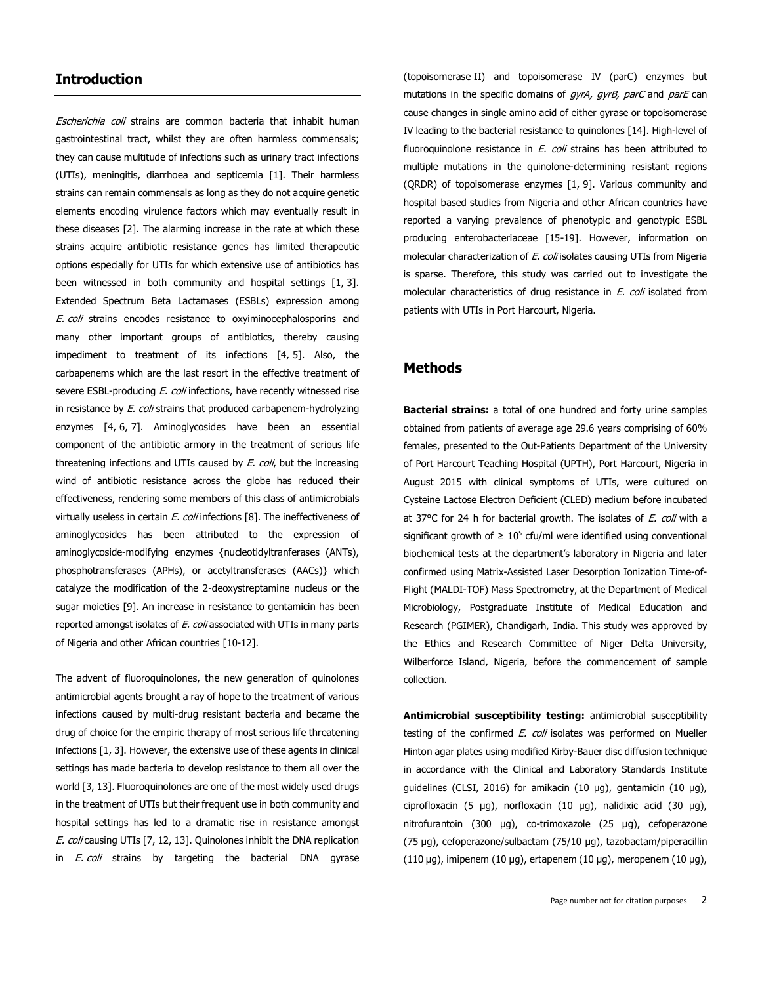#### **Introduction**

Escherichia coli strains are common bacteria that inhabit human gastrointestinal tract, whilst they are often harmless commensals; they can cause multitude of infections such as urinary tract infections (UTIs), meningitis, diarrhoea and septicemia [\[1\]](http://www.panafrican-med-journal.com/content/article/34/144/full/#ref1). Their harmless strains can remain commensals as long as they do not acquire genetic elements encoding virulence factors which may eventually result in these diseases [\[2\]](http://www.panafrican-med-journal.com/content/article/34/144/full/#ref2). The alarming increase in the rate at which these strains acquire antibiotic resistance genes has limited therapeutic options especially for UTIs for which extensive use of antibiotics has been witnessed in both community and hospital settings [\[1,](http://www.panafrican-med-journal.com/content/article/34/144/full/#ref1) [3\]](http://www.panafrican-med-journal.com/content/article/34/144/full/#ref3). Extended Spectrum Beta Lactamases (ESBLs) expression among E. coli strains encodes resistance to oxyiminocephalosporins and many other important groups of antibiotics, thereby causing impediment to treatment of its infections [\[4,](http://www.panafrican-med-journal.com/content/article/34/144/full/#ref4) [5\]](http://www.panafrican-med-journal.com/content/article/34/144/full/#ref5). Also, the carbapenems which are the last resort in the effective treatment of severe ESBL-producing *E. coli* infections, have recently witnessed rise in resistance by *E. coli* strains that produced carbapenem-hydrolyzing enzymes [\[4,](http://www.panafrican-med-journal.com/content/article/34/144/full/#ref4) [6,](http://www.panafrican-med-journal.com/content/article/34/144/full/#ref6) [7\]](http://www.panafrican-med-journal.com/content/article/34/144/full/#ref7). Aminoglycosides have been an essential component of the antibiotic armory in the treatment of serious life threatening infections and UTIs caused by *E. coli*, but the increasing wind of antibiotic resistance across the globe has reduced their effectiveness, rendering some members of this class of antimicrobials virtually useless in certain E. coli infections [\[8\]](http://www.panafrican-med-journal.com/content/article/34/144/full/#ref8). The ineffectiveness of aminoglycosides has been attributed to the expression of aminoglycoside-modifying enzymes {nucleotidyltranferases (ANTs), phosphotransferases (APHs), or acetyltransferases (AACs)} which catalyze the modification of the 2-deoxystreptamine nucleus or the sugar moieties [\[9\]](http://www.panafrican-med-journal.com/content/article/34/144/full/#ref9). An increase in resistance to gentamicin has been reported amongst isolates of E. coli associated with UTIs in many parts of Nigeria and other African countries [\[10-12\]](http://www.panafrican-med-journal.com/content/article/34/144/full/#ref10).

The advent of fluoroquinolones, the new generation of quinolones antimicrobial agents brought a ray of hope to the treatment of various infections caused by multi-drug resistant bacteria and became the drug of choice for the empiric therapy of most serious life threatening infections [\[1,](http://www.panafrican-med-journal.com/content/article/34/144/full/#ref1) [3\]](http://www.panafrican-med-journal.com/content/article/34/144/full/#ref3). However, the extensive use of these agents in clinical settings has made bacteria to develop resistance to them all over the world [\[3,](http://www.panafrican-med-journal.com/content/article/34/144/full/#ref3) [13\]](http://www.panafrican-med-journal.com/content/article/34/144/full/#ref13). Fluoroquinolones are one of the most widely used drugs in the treatment of UTIs but their frequent use in both community and hospital settings has led to a dramatic rise in resistance amongst E. coli causing UTIs [\[7,](http://www.panafrican-med-journal.com/content/article/34/144/full/#ref7) [12,](http://www.panafrican-med-journal.com/content/article/34/144/full/#ref12) [13\]](http://www.panafrican-med-journal.com/content/article/34/144/full/#ref13). Quinolones inhibit the DNA replication in *E. coli* strains by targeting the bacterial DNA gyrase

(topoisomerase II) and topoisomerase IV (parC) enzymes but mutations in the specific domains of *gyrA, gyrB, parC* and *parE* can cause changes in single amino acid of either gyrase or topoisomerase IV leading to the bacterial resistance to quinolones [\[14\]](http://www.panafrican-med-journal.com/content/article/34/144/full/#ref14). High-level of fluoroquinolone resistance in  $E$ . coli strains has been attributed to multiple mutations in the quinolone-determining resistant regions (QRDR) of topoisomerase enzymes [\[1,](http://www.panafrican-med-journal.com/content/article/34/144/full/#ref1) [9\]](http://www.panafrican-med-journal.com/content/article/34/144/full/#ref9). Various community and hospital based studies from Nigeria and other African countries have reported a varying prevalence of phenotypic and genotypic ESBL producing enterobacteriaceae [\[15-19\]](http://www.panafrican-med-journal.com/content/article/34/144/full/#ref15). However, information on molecular characterization of E. coli isolates causing UTIs from Nigeria is sparse. Therefore, this study was carried out to investigate the molecular characteristics of drug resistance in E. coli isolated from patients with UTIs in Port Harcourt, Nigeria.

#### **Methods**

**Bacterial strains:** a total of one hundred and forty urine samples obtained from patients of average age 29.6 years comprising of 60% females, presented to the Out-Patients Department of the University of Port Harcourt Teaching Hospital (UPTH), Port Harcourt, Nigeria in August 2015 with clinical symptoms of UTIs, were cultured on Cysteine Lactose Electron Deficient (CLED) medium before incubated at 37 $^{\circ}$ C for 24 h for bacterial growth. The isolates of *E. coli* with a significant growth of  $\geq 10^5$  cfu/ml were identified using conventional biochemical tests at the department's laboratory in Nigeria and later confirmed using Matrix-Assisted Laser Desorption Ionization Time-of-Flight (MALDI-TOF) Mass Spectrometry, at the Department of Medical Microbiology, Postgraduate Institute of Medical Education and Research (PGIMER), Chandigarh, India. This study was approved by the Ethics and Research Committee of Niger Delta University, Wilberforce Island, Nigeria, before the commencement of sample collection.

**Antimicrobial susceptibility testing:** antimicrobial susceptibility testing of the confirmed E. coli isolates was performed on Mueller Hinton agar plates using modified Kirby-Bauer disc diffusion technique in accordance with the Clinical and Laboratory Standards Institute guidelines (CLSI, 2016) for amikacin (10 µg), gentamicin (10 µg), ciprofloxacin (5 µg), norfloxacin (10 µg), nalidixic acid (30 µg), nitrofurantoin (300 µg), co-trimoxazole (25 µg), cefoperazone (75 µg), cefoperazone/sulbactam (75/10 µg), tazobactam/piperacillin (110 µg), imipenem (10 µg), ertapenem (10 µg), meropenem (10 µg),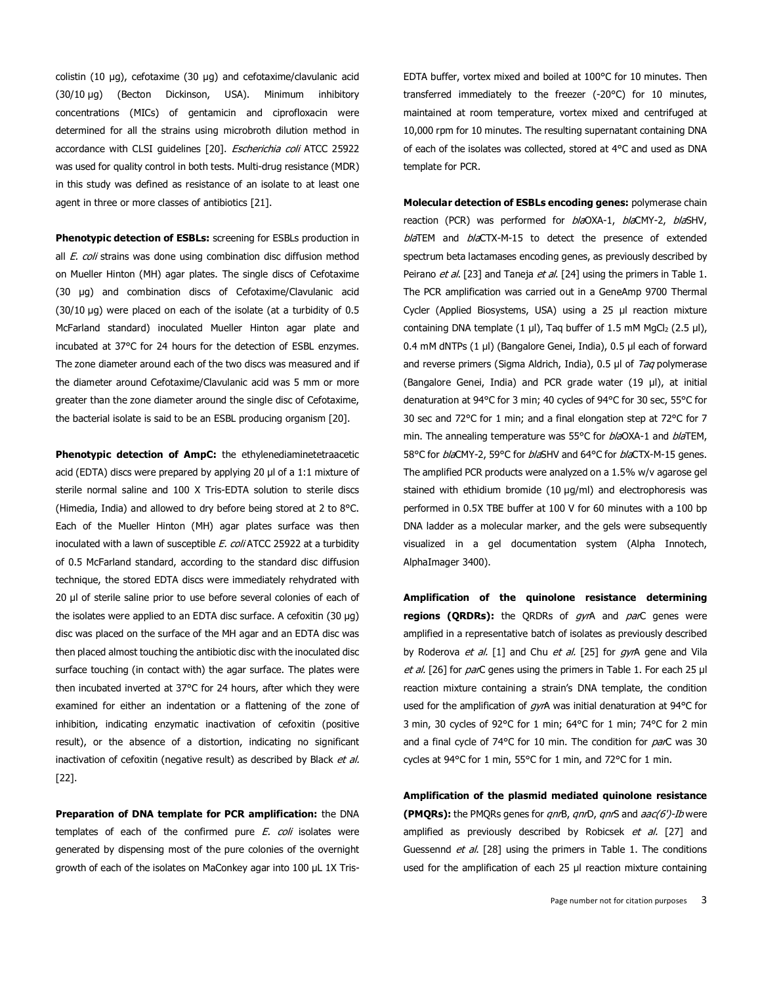colistin (10 µg), cefotaxime (30 µg) and cefotaxime/clavulanic acid (30/10 µg) (Becton Dickinson, USA). Minimum inhibitory concentrations (MICs) of gentamicin and ciprofloxacin were determined for all the strains using microbroth dilution method in accordance with CLSI guidelines [\[20\]](http://www.panafrican-med-journal.com/content/article/34/144/full/#ref20). Escherichia coli ATCC 25922 was used for quality control in both tests. Multi-drug resistance (MDR) in this study was defined as resistance of an isolate to at least one agent in three or more classes of antibiotics [\[21\]](http://www.panafrican-med-journal.com/content/article/34/144/full/#ref21).

**Phenotypic detection of ESBLs:** screening for ESBLs production in all  $E.$  coli strains was done using combination disc diffusion method on Mueller Hinton (MH) agar plates. The single discs of Cefotaxime (30 µg) and combination discs of Cefotaxime/Clavulanic acid (30/10 µg) were placed on each of the isolate (at a turbidity of 0.5 McFarland standard) inoculated Mueller Hinton agar plate and incubated at 37°C for 24 hours for the detection of ESBL enzymes. The zone diameter around each of the two discs was measured and if the diameter around Cefotaxime/Clavulanic acid was 5 mm or more greater than the zone diameter around the single disc of Cefotaxime, the bacterial isolate is said to be an ESBL producing organism [\[20\]](http://www.panafrican-med-journal.com/content/article/34/144/full/#ref20).

**Phenotypic detection of AmpC:** the ethylenediaminetetraacetic acid (EDTA) discs were prepared by applying 20 µl of a 1:1 mixture of sterile normal saline and 100 X Tris-EDTA solution to sterile discs (Himedia, India) and allowed to dry before being stored at 2 to 8°C. Each of the Mueller Hinton (MH) agar plates surface was then inoculated with a lawn of susceptible E. coli ATCC 25922 at a turbidity of 0.5 McFarland standard, according to the standard disc diffusion technique, the stored EDTA discs were immediately rehydrated with 20 µl of sterile saline prior to use before several colonies of each of the isolates were applied to an EDTA disc surface. A cefoxitin (30 µg) disc was placed on the surface of the MH agar and an EDTA disc was then placed almost touching the antibiotic disc with the inoculated disc surface touching (in contact with) the agar surface. The plates were then incubated inverted at 37°C for 24 hours, after which they were examined for either an indentation or a flattening of the zone of inhibition, indicating enzymatic inactivation of cefoxitin (positive result), or the absence of a distortion, indicating no significant inactivation of cefoxitin (negative result) as described by Black et al. [\[22\]](http://www.panafrican-med-journal.com/content/article/34/144/full/#ref22).

**Preparation of DNA template for PCR amplification:** the DNA templates of each of the confirmed pure  $E$ . coli isolates were generated by dispensing most of the pure colonies of the overnight growth of each of the isolates on MaConkey agar into 100 µL 1X TrisEDTA buffer, vortex mixed and boiled at 100°C for 10 minutes. Then transferred immediately to the freezer (-20°C) for 10 minutes, maintained at room temperature, vortex mixed and centrifuged at 10,000 rpm for 10 minutes. The resulting supernatant containing DNA of each of the isolates was collected, stored at 4°C and used as DNA template for PCR.

**Molecular detection of ESBLs encoding genes:** polymerase chain reaction (PCR) was performed for *bla*OXA-1, *bla*CMY-2, *bla*SHV, blaTEM and blaCTX-M-15 to detect the presence of extended spectrum beta lactamases encoding genes, as previously described by Peirano et al. [\[23\]](http://www.panafrican-med-journal.com/content/article/34/144/full/#ref23) and Taneja et al. [\[24\]](http://www.panafrican-med-journal.com/content/article/34/144/full/#ref24) using the primers in [Table](javascript:void(0)) 1. The PCR amplification was carried out in a GeneAmp 9700 Thermal Cycler (Applied Biosystems, USA) using a 25 μl reaction mixture containing DNA template (1 μl), Taq buffer of 1.5 mM MgCl<sub>2</sub> (2.5 μl), 0.4 mM dNTPs (1 μl) (Bangalore Genei, India), 0.5 μl each of forward and reverse primers (Sigma Aldrich, India), 0.5 μl of Taq polymerase (Bangalore Genei, India) and PCR grade water (19 μl), at initial denaturation at 94°C for 3 min; 40 cycles of 94°C for 30 sec, 55°C for 30 sec and 72°C for 1 min; and a final elongation step at 72°C for 7 min. The annealing temperature was 55°C for blaOXA-1 and blaTEM, 58°C for *bla*CMY-2, 59°C for *bla*SHV and 64°C for *bla*CTX-M-15 genes. The amplified PCR products were analyzed on a 1.5% w/v agarose gel stained with ethidium bromide (10 µg/ml) and electrophoresis was performed in 0.5X TBE buffer at 100 V for 60 minutes with a 100 bp DNA ladder as a molecular marker, and the gels were subsequently visualized in a gel documentation system (Alpha Innotech, AlphaImager 3400).

**Amplification of the quinolone resistance determining regions (QRDRs):** the QRDRs of gyrA and parC genes were amplified in a representative batch of isolates as previously described by Roderova et al. [\[1\]](http://www.panafrican-med-journal.com/content/article/34/144/full/#ref1) and Chu et al. [\[25\]](http://www.panafrican-med-journal.com/content/article/34/144/full/#ref25) for gyrA gene and Vila et al. [\[26\]](http://www.panafrican-med-journal.com/content/article/34/144/full/#ref26) for *par*C genes using the primers in [Table](javascript:void(0)) 1. For each 25 μl reaction mixture containing a strain's DNA template, the condition used for the amplification of gyrA was initial denaturation at 94°C for 3 min, 30 cycles of 92°C for 1 min; 64°C for 1 min; 74°C for 2 min and a final cycle of  $74^{\circ}$ C for 10 min. The condition for  $parC$  was 30 cycles at 94°C for 1 min, 55°C for 1 min, and 72°C for 1 min.

**Amplification of the plasmid mediated quinolone resistance (PMORs):** the PMORs genes for *anrB, anrD, anrS* and *aac(6')-Ib* were amplified as previously described by Robicsek et al. [\[27\]](http://www.panafrican-med-journal.com/content/article/34/144/full/#ref27) and Guessennd *et al.* [\[28\]](http://www.panafrican-med-journal.com/content/article/34/144/full/#ref28) using the primers in [Table](javascript:void(0)) 1. The conditions used for the amplification of each 25 μl reaction mixture containing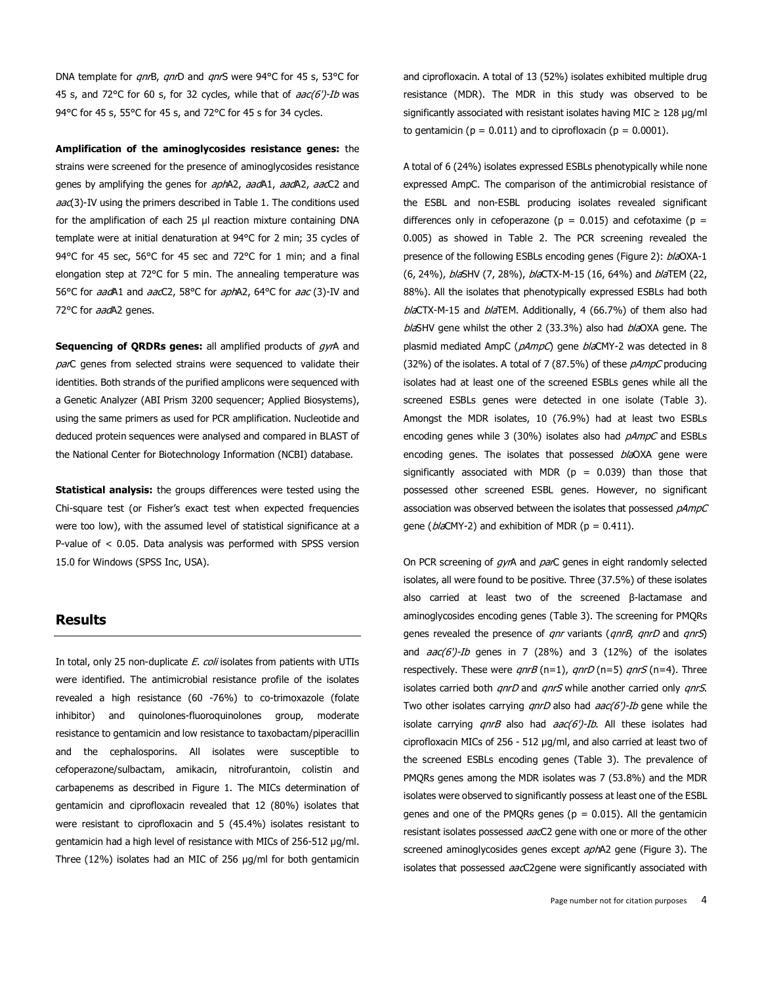DNA template for qnrB, qnrD and qnrS were 94°C for 45 s, 53°C for 45 s, and 72°C for 60 s, for 32 cycles, while that of aac(6')-Ib was 94°C for 45 s, 55°C for 45 s, and 72°C for 45 s for 34 cycles.

**Amplification of the aminoglycosides resistance genes:** the strains were screened for the presence of aminoglycosides resistance genes by amplifying the genes for *aph*A2, aadA1, aadA2, aacC2 and  $aa(3)$ -IV using the primers described in [Table](javascript:void(0)) 1. The conditions used for the amplification of each 25 μl reaction mixture containing DNA template were at initial denaturation at 94°C for 2 min; 35 cycles of 94°C for 45 sec, 56°C for 45 sec and 72°C for 1 min; and a final elongation step at 72°C for 5 min. The annealing temperature was 56°C for aadA1 and aacC2, 58°C for aphA2, 64°C for aac (3)-IV and 72°C for aadA2 genes.

**Sequencing of QRDRs genes:** all amplified products of gyrA and parC genes from selected strains were sequenced to validate their identities. Both strands of the purified amplicons were sequenced with a Genetic Analyzer (ABI Prism 3200 sequencer; Applied Biosystems), using the same primers as used for PCR amplification. Nucleotide and deduced protein sequences were analysed and compared in BLAST of the National Center for Biotechnology Information (NCBI) database.

**Statistical analysis:** the groups differences were tested using the Chi-square test (or Fisher's exact test when expected frequencies were too low), with the assumed level of statistical significance at a P-value of < 0.05. Data analysis was performed with SPSS version 15.0 for Windows (SPSS Inc, USA).

#### **Results**

In total, only 25 non-duplicate  $E.$  coli isolates from patients with UTIs were identified. The antimicrobial resistance profile of the isolates revealed a high resistance (60 -76%) to co-trimoxazole (folate inhibitor) and quinolones-fluoroquinolones group, moderate resistance to gentamicin and low resistance to taxobactam/piperacillin and the cephalosporins. All isolates were susceptible to cefoperazone/sulbactam, amikacin, nitrofurantoin, colistin and carbapenems as described in [Figure](javascript:PopupFigure() 1. The MICs determination of gentamicin and ciprofloxacin revealed that 12 (80%) isolates that were resistant to ciprofloxacin and 5 (45.4%) isolates resistant to gentamicin had a high level of resistance with MICs of 256-512 µg/ml. Three (12%) isolates had an MIC of 256 µg/ml for both gentamicin and ciprofloxacin. A total of 13 (52%) isolates exhibited multiple drug resistance (MDR). The MDR in this study was observed to be significantly associated with resistant isolates having MIC  $\geq 128 \text{ µq/ml}$ to gentamicin ( $p = 0.011$ ) and to ciprofloxacin ( $p = 0.0001$ ).

A total of 6 (24%) isolates expressed ESBLs phenotypically while none expressed AmpC. The comparison of the antimicrobial resistance of the ESBL and non-ESBL producing isolates revealed significant differences only in cefoperazone ( $p = 0.015$ ) and cefotaxime ( $p =$ 0.005) as showed in [Table](javascript:void(0)) 2. The PCR screening revealed the presence of the following ESBLs encoding genes [\(Figure](javascript:PopupFigure() 2): blaOXA-1 (6, 24%), blaSHV (7, 28%), blaCTX-M-15 (16, 64%) and blaTEM (22, 88%). All the isolates that phenotypically expressed ESBLs had both blaCTX-M-15 and blaTEM. Additionally, 4 (66.7%) of them also had blaSHV gene whilst the other 2 (33.3%) also had blaOXA gene. The plasmid mediated AmpC (pAmpC) gene blaCMY-2 was detected in 8 (32%) of the isolates. A total of 7 (87.5%) of these pAmpC producing isolates had at least one of the screened ESBLs genes while all the screened ESBLs genes were detected in one isolate [\(Table](javascript:void(0)) 3). Amongst the MDR isolates, 10 (76.9%) had at least two ESBLs encoding genes while 3 (30%) isolates also had  $pAmpC$  and ESBLs encoding genes. The isolates that possessed blaOXA gene were significantly associated with MDR ( $p = 0.039$ ) than those that possessed other screened ESBL genes. However, no significant association was observed between the isolates that possessed pAmpC gene ( $bla$ CMY-2) and exhibition of MDR (p = 0.411).

On PCR screening of gyrA and parC genes in eight randomly selected isolates, all were found to be positive. Three (37.5%) of these isolates also carried at least two of the screened β-lactamase and aminoglycosides encoding genes [\(Table](javascript:void(0)) 3). The screening for PMQRs genes revealed the presence of *gnr* variants (*gnrB*, *gnrD* and *gnrS*) and  $aac(6')$ -Ib genes in 7 (28%) and 3 (12%) of the isolates respectively. These were  $qnrB (n=1)$ ,  $qnrD (n=5)$   $qnrS (n=4)$ . Three isolates carried both *qnrD* and *qnrS* while another carried only *qnrS*. Two other isolates carrying  $qnD$  also had  $aac(6')$ -Ib gene while the isolate carrying  $qnB$  also had  $aac(6')$ -Ib. All these isolates had ciprofloxacin MICs of 256 - 512 µg/ml, and also carried at least two of the screened ESBLs encoding genes [\(Table](javascript:void(0)) 3). The prevalence of PMQRs genes among the MDR isolates was 7 (53.8%) and the MDR isolates were observed to significantly possess at least one of the ESBL genes and one of the PMQRs genes ( $p = 0.015$ ). All the gentamicin resistant isolates possessed aacC2 gene with one or more of the other screened aminoglycosides genes except *aph*A2 gene [\(Figure](javascript:PopupFigure() 3). The isolates that possessed aacC2gene were significantly associated with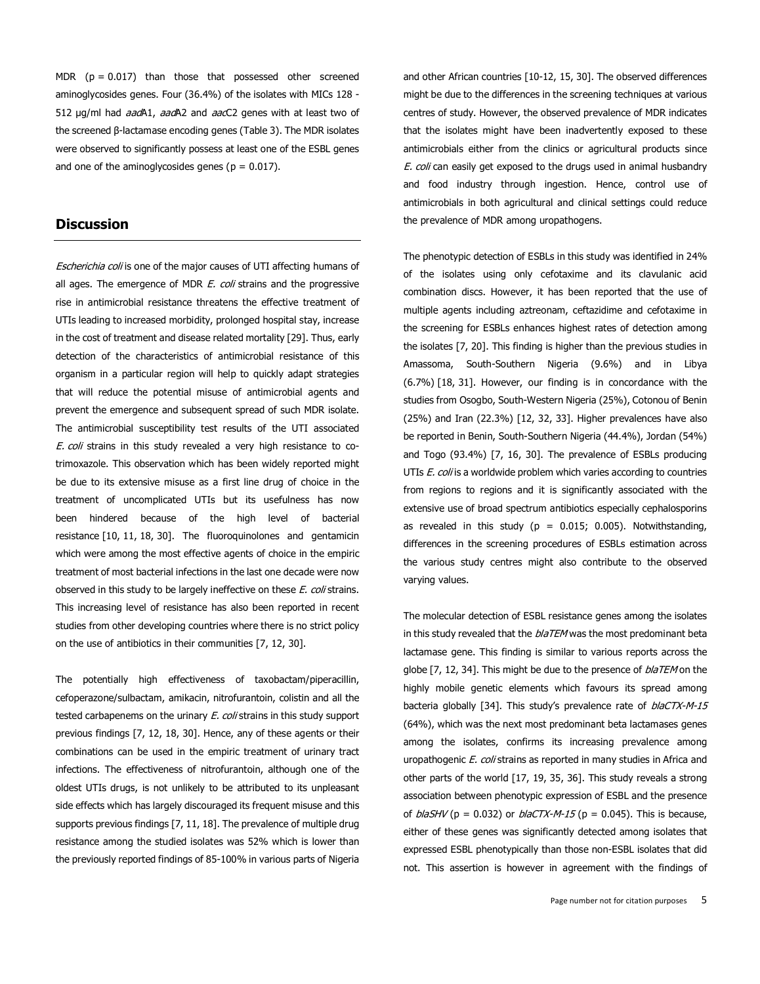MDR  $(p = 0.017)$  than those that possessed other screened aminoglycosides genes. Four (36.4%) of the isolates with MICs 128 - 512 µg/ml had *aad*A1, aadA2 and aacC2 genes with at least two of the screened β-lactamase encoding genes [\(Table](javascript:void(0)) 3). The MDR isolates were observed to significantly possess at least one of the ESBL genes and one of the aminoglycosides genes ( $p = 0.017$ ).

# **Discussion**

Escherichia coli is one of the major causes of UTI affecting humans of all ages. The emergence of MDR E. coli strains and the progressive rise in antimicrobial resistance threatens the effective treatment of UTIs leading to increased morbidity, prolonged hospital stay, increase in the cost of treatment and disease related mortality [\[29\]](http://www.panafrican-med-journal.com/content/article/34/144/full/#ref29). Thus, early detection of the characteristics of antimicrobial resistance of this organism in a particular region will help to quickly adapt strategies that will reduce the potential misuse of antimicrobial agents and prevent the emergence and subsequent spread of such MDR isolate. The antimicrobial susceptibility test results of the UTI associated E. coli strains in this study revealed a very high resistance to cotrimoxazole. This observation which has been widely reported might be due to its extensive misuse as a first line drug of choice in the treatment of uncomplicated UTIs but its usefulness has now been hindered because of the high level of bacterial resistance [\[10,](http://www.panafrican-med-journal.com/content/article/34/144/full/#ref10) [11,](http://www.panafrican-med-journal.com/content/article/34/144/full/#ref11) [18,](http://www.panafrican-med-journal.com/content/article/34/144/full/#ref18) [30\]](http://www.panafrican-med-journal.com/content/article/34/144/full/#ref30). The fluoroquinolones and gentamicin which were among the most effective agents of choice in the empiric treatment of most bacterial infections in the last one decade were now observed in this study to be largely ineffective on these E. coli strains. This increasing level of resistance has also been reported in recent studies from other developing countries where there is no strict policy on the use of antibiotics in their communities [\[7,](http://www.panafrican-med-journal.com/content/article/34/144/full/#ref7) [12,](http://www.panafrican-med-journal.com/content/article/34/144/full/#ref12) [30\]](http://www.panafrican-med-journal.com/content/article/34/144/full/#ref30).

The potentially high effectiveness of taxobactam/piperacillin, cefoperazone/sulbactam, amikacin, nitrofurantoin, colistin and all the tested carbapenems on the urinary E. coli strains in this study support previous findings [\[7,](http://www.panafrican-med-journal.com/content/article/34/144/full/#ref7) [12,](http://www.panafrican-med-journal.com/content/article/34/144/full/#ref12) [18,](http://www.panafrican-med-journal.com/content/article/34/144/full/#ref18) [30\]](http://www.panafrican-med-journal.com/content/article/34/144/full/#ref30). Hence, any of these agents or their combinations can be used in the empiric treatment of urinary tract infections. The effectiveness of nitrofurantoin, although one of the oldest UTIs drugs, is not unlikely to be attributed to its unpleasant side effects which has largely discouraged its frequent misuse and this supports previous findings [\[7,](http://www.panafrican-med-journal.com/content/article/34/144/full/#ref7) [11,](http://www.panafrican-med-journal.com/content/article/34/144/full/#ref11) [18\]](http://www.panafrican-med-journal.com/content/article/34/144/full/#ref18). The prevalence of multiple drug resistance among the studied isolates was 52% which is lower than the previously reported findings of 85-100% in various parts of Nigeria and other African countries [\[10-12,](http://www.panafrican-med-journal.com/content/article/34/144/full/#ref10) [15,](http://www.panafrican-med-journal.com/content/article/34/144/full/#ref15) [30\]](http://www.panafrican-med-journal.com/content/article/34/144/full/#ref30). The observed differences might be due to the differences in the screening techniques at various centres of study. However, the observed prevalence of MDR indicates that the isolates might have been inadvertently exposed to these antimicrobials either from the clinics or agricultural products since E. coli can easily get exposed to the drugs used in animal husbandry and food industry through ingestion. Hence, control use of antimicrobials in both agricultural and clinical settings could reduce the prevalence of MDR among uropathogens.

The phenotypic detection of ESBLs in this study was identified in 24% of the isolates using only cefotaxime and its clavulanic acid combination discs. However, it has been reported that the use of multiple agents including aztreonam, ceftazidime and cefotaxime in the screening for ESBLs enhances highest rates of detection among the isolates [\[7,](http://www.panafrican-med-journal.com/content/article/34/144/full/#ref7) [20\]](http://www.panafrican-med-journal.com/content/article/34/144/full/#ref20). This finding is higher than the previous studies in Amassoma, South-Southern Nigeria (9.6%) and in Libya (6.7%) [\[18,](http://www.panafrican-med-journal.com/content/article/34/144/full/#ref18) [31\]](http://www.panafrican-med-journal.com/content/article/34/144/full/#ref31). However, our finding is in concordance with the studies from Osogbo, South-Western Nigeria (25%), Cotonou of Benin (25%) and Iran (22.3%) [\[12,](http://www.panafrican-med-journal.com/content/article/34/144/full/#ref12) [32,](http://www.panafrican-med-journal.com/content/article/34/144/full/#ref32) [33\]](http://www.panafrican-med-journal.com/content/article/34/144/full/#ref33). Higher prevalences have also be reported in Benin, South-Southern Nigeria (44.4%), Jordan (54%) and Togo (93.4%) [\[7,](http://www.panafrican-med-journal.com/content/article/34/144/full/#ref7) [16,](http://www.panafrican-med-journal.com/content/article/34/144/full/#ref16) [30\]](http://www.panafrican-med-journal.com/content/article/34/144/full/#ref30). The prevalence of ESBLs producing UTIs E. coli is a worldwide problem which varies according to countries from regions to regions and it is significantly associated with the extensive use of broad spectrum antibiotics especially cephalosporins as revealed in this study ( $p = 0.015$ ; 0.005). Notwithstanding, differences in the screening procedures of ESBLs estimation across the various study centres might also contribute to the observed varying values.

The molecular detection of ESBL resistance genes among the isolates in this study revealed that the  $b/aTEM$  was the most predominant beta lactamase gene. This finding is similar to various reports across the globe [\[7,](http://www.panafrican-med-journal.com/content/article/34/144/full/#ref7) [12,](http://www.panafrican-med-journal.com/content/article/34/144/full/#ref12) [34\]](http://www.panafrican-med-journal.com/content/article/34/144/full/#ref34). This might be due to the presence of *blaTEM* on the highly mobile genetic elements which favours its spread among bacteria globally [\[34\]](http://www.panafrican-med-journal.com/content/article/34/144/full/#ref34). This study's prevalence rate of blaCTX-M-15 (64%), which was the next most predominant beta lactamases genes among the isolates, confirms its increasing prevalence among uropathogenic *E. coli* strains as reported in many studies in Africa and other parts of the world [\[17,](http://www.panafrican-med-journal.com/content/article/34/144/full/#ref17) [19,](http://www.panafrican-med-journal.com/content/article/34/144/full/#ref19) [35,](http://www.panafrican-med-journal.com/content/article/34/144/full/#ref35) [36\]](http://www.panafrican-med-journal.com/content/article/34/144/full/#ref36). This study reveals a strong association between phenotypic expression of ESBL and the presence of *blaSHV* ( $p = 0.032$ ) or *blaCTX-M-15* ( $p = 0.045$ ). This is because, either of these genes was significantly detected among isolates that expressed ESBL phenotypically than those non-ESBL isolates that did not. This assertion is however in agreement with the findings of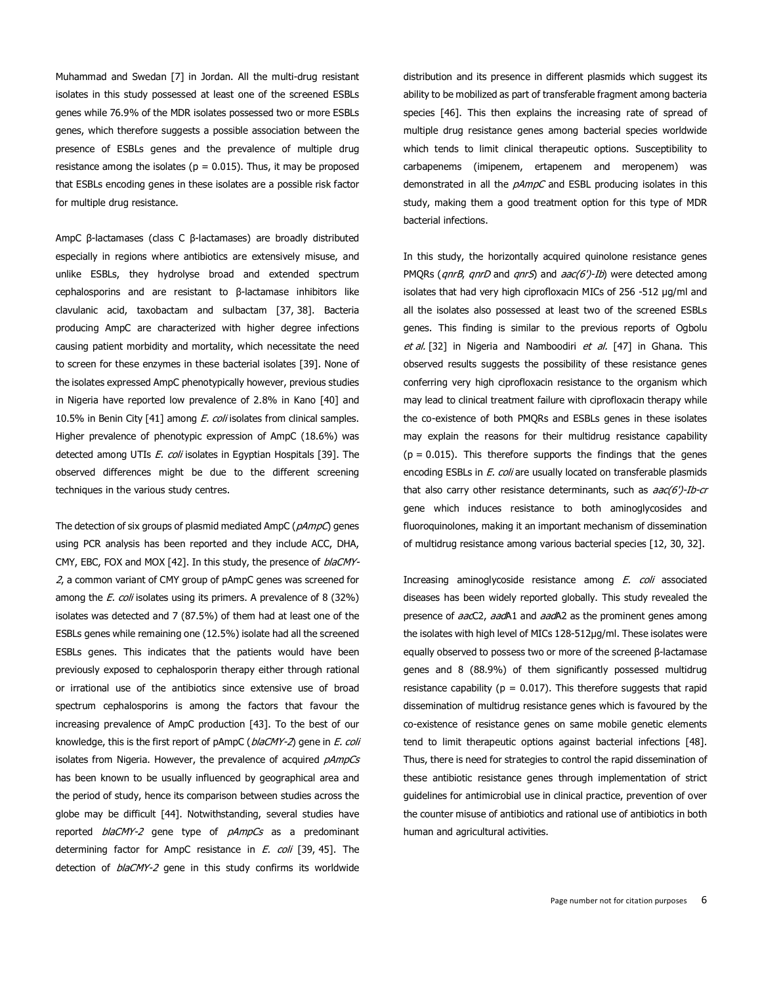Muhammad and Swedan [\[7\]](http://www.panafrican-med-journal.com/content/article/34/144/full/#ref7) in Jordan. All the multi-drug resistant isolates in this study possessed at least one of the screened ESBLs genes while 76.9% of the MDR isolates possessed two or more ESBLs genes, which therefore suggests a possible association between the presence of ESBLs genes and the prevalence of multiple drug resistance among the isolates ( $p = 0.015$ ). Thus, it may be proposed that ESBLs encoding genes in these isolates are a possible risk factor for multiple drug resistance.

AmpC β-lactamases (class C β-lactamases) are broadly distributed especially in regions where antibiotics are extensively misuse, and unlike ESBLs, they hydrolyse broad and extended spectrum cephalosporins and are resistant to β-lactamase inhibitors like clavulanic acid, taxobactam and sulbactam [\[37,](http://www.panafrican-med-journal.com/content/article/34/144/full/#ref37) [38\]](http://www.panafrican-med-journal.com/content/article/34/144/full/#ref38). Bacteria producing AmpC are characterized with higher degree infections causing patient morbidity and mortality, which necessitate the need to screen for these enzymes in these bacterial isolates [\[39\]](http://www.panafrican-med-journal.com/content/article/34/144/full/#ref39). None of the isolates expressed AmpC phenotypically however, previous studies in Nigeria have reported low prevalence of 2.8% in Kano [\[40\]](http://www.panafrican-med-journal.com/content/article/34/144/full/#ref40) and 10.5% in Benin City [\[41\]](http://www.panafrican-med-journal.com/content/article/34/144/full/#ref41) among E. coli isolates from clinical samples. Higher prevalence of phenotypic expression of AmpC (18.6%) was detected among UTIs E. coli isolates in Egyptian Hospitals [\[39\]](http://www.panafrican-med-journal.com/content/article/34/144/full/#ref39). The observed differences might be due to the different screening techniques in the various study centres.

The detection of six groups of plasmid mediated AmpC (pAmpC) genes using PCR analysis has been reported and they include ACC, DHA, CMY, EBC, FOX and MOX [\[42\]](http://www.panafrican-med-journal.com/content/article/34/144/full/#ref42). In this study, the presence of blaCMY-2, a common variant of CMY group of pAmpC genes was screened for among the  $E.$  coli isolates using its primers. A prevalence of 8 (32%) isolates was detected and 7 (87.5%) of them had at least one of the ESBLs genes while remaining one (12.5%) isolate had all the screened ESBLs genes. This indicates that the patients would have been previously exposed to cephalosporin therapy either through rational or irrational use of the antibiotics since extensive use of broad spectrum cephalosporins is among the factors that favour the increasing prevalence of AmpC production [\[43\]](http://www.panafrican-med-journal.com/content/article/34/144/full/#ref43). To the best of our knowledge, this is the first report of pAmpC (blaCMY-2) gene in E. coli isolates from Nigeria. However, the prevalence of acquired pAmpCs has been known to be usually influenced by geographical area and the period of study, hence its comparison between studies across the globe may be difficult [\[44\]](http://www.panafrican-med-journal.com/content/article/34/144/full/#ref44). Notwithstanding, several studies have reported blaCMY-2 gene type of pAmpCs as a predominant determining factor for AmpC resistance in E. coli [\[39,](http://www.panafrican-med-journal.com/content/article/34/144/full/#ref39) [45\]](http://www.panafrican-med-journal.com/content/article/34/144/full/#ref45). The detection of *blaCMY-2* gene in this study confirms its worldwide

distribution and its presence in different plasmids which suggest its ability to be mobilized as part of transferable fragment among bacteria species [\[46\]](http://www.panafrican-med-journal.com/content/article/34/144/full/#ref46). This then explains the increasing rate of spread of multiple drug resistance genes among bacterial species worldwide which tends to limit clinical therapeutic options. Susceptibility to carbapenems (imipenem, ertapenem and meropenem) was demonstrated in all the  $pAmpC$  and ESBL producing isolates in this study, making them a good treatment option for this type of MDR bacterial infections.

In this study, the horizontally acquired quinolone resistance genes PMQRs ( $qnB$ ,  $qnD$  and  $qnS$ ) and  $aac(6')$ -Ib) were detected among isolates that had very high ciprofloxacin MICs of 256 -512 µg/ml and all the isolates also possessed at least two of the screened ESBLs genes. This finding is similar to the previous reports of Ogbolu et al. [\[32\]](http://www.panafrican-med-journal.com/content/article/34/144/full/#ref32) in Nigeria and Namboodiri et al. [\[47\]](http://www.panafrican-med-journal.com/content/article/34/144/full/#ref47) in Ghana. This observed results suggests the possibility of these resistance genes conferring very high ciprofloxacin resistance to the organism which may lead to clinical treatment failure with ciprofloxacin therapy while the co-existence of both PMQRs and ESBLs genes in these isolates may explain the reasons for their multidrug resistance capability  $(p = 0.015)$ . This therefore supports the findings that the genes encoding ESBLs in *E. coli* are usually located on transferable plasmids that also carry other resistance determinants, such as  $aac(6')$ -Ib-cr gene which induces resistance to both aminoglycosides and fluoroquinolones, making it an important mechanism of dissemination of multidrug resistance among various bacterial species [\[12,](http://www.panafrican-med-journal.com/content/article/34/144/full/#ref12) [30,](http://www.panafrican-med-journal.com/content/article/34/144/full/#ref30) [32\]](http://www.panafrican-med-journal.com/content/article/34/144/full/#ref32).

Increasing aminoglycoside resistance among E. coli associated diseases has been widely reported globally. This study revealed the presence of aacC2, aadA1 and aadA2 as the prominent genes among the isolates with high level of MICs 128-512µg/ml. These isolates were equally observed to possess two or more of the screened β-lactamase genes and 8 (88.9%) of them significantly possessed multidrug resistance capability ( $p = 0.017$ ). This therefore suggests that rapid dissemination of multidrug resistance genes which is favoured by the co-existence of resistance genes on same mobile genetic elements tend to limit therapeutic options against bacterial infections [\[48\]](http://www.panafrican-med-journal.com/content/article/34/144/full/#ref48). Thus, there is need for strategies to control the rapid dissemination of these antibiotic resistance genes through implementation of strict guidelines for antimicrobial use in clinical practice, prevention of over the counter misuse of antibiotics and rational use of antibiotics in both human and agricultural activities.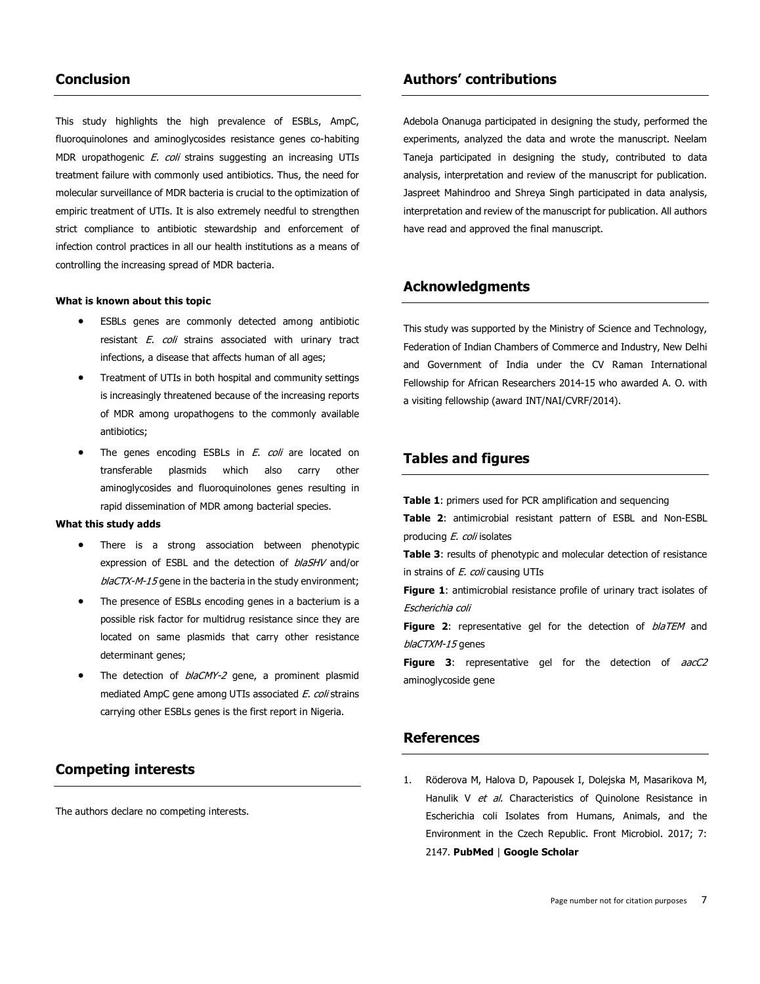#### **Conclusion**

This study highlights the high prevalence of ESBLs, AmpC, fluoroquinolones and aminoglycosides resistance genes co-habiting MDR uropathogenic *E. coli* strains suggesting an increasing UTIs treatment failure with commonly used antibiotics. Thus, the need for molecular surveillance of MDR bacteria is crucial to the optimization of empiric treatment of UTIs. It is also extremely needful to strengthen strict compliance to antibiotic stewardship and enforcement of infection control practices in all our health institutions as a means of controlling the increasing spread of MDR bacteria.

#### **What is known about this topic**

- ESBLs genes are commonly detected among antibiotic resistant E. coli strains associated with urinary tract infections, a disease that affects human of all ages;
- Treatment of UTIs in both hospital and community settings is increasingly threatened because of the increasing reports of MDR among uropathogens to the commonly available antibiotics;
- The genes encoding ESBLs in  $E$ . coli are located on transferable plasmids which also carry other aminoglycosides and fluoroquinolones genes resulting in rapid dissemination of MDR among bacterial species.

#### **What this study adds**

- There is a strong association between phenotypic expression of ESBL and the detection of blaSHV and/or  $b$ laCTX-M-15 gene in the bacteria in the study environment;
- The presence of ESBLs encoding genes in a bacterium is a possible risk factor for multidrug resistance since they are located on same plasmids that carry other resistance determinant genes;
- The detection of *blaCMY-2* gene, a prominent plasmid mediated AmpC gene among UTIs associated E. coli strains carrying other ESBLs genes is the first report in Nigeria.

# **Competing interests**

The authors declare no competing interests.

#### **Authors' contributions**

Adebola Onanuga participated in designing the study, performed the experiments, analyzed the data and wrote the manuscript. Neelam Taneja participated in designing the study, contributed to data analysis, interpretation and review of the manuscript for publication. Jaspreet Mahindroo and Shreya Singh participated in data analysis, interpretation and review of the manuscript for publication. All authors have read and approved the final manuscript.

# **Acknowledgments**

This study was supported by the Ministry of Science and Technology, Federation of Indian Chambers of Commerce and Industry, New Delhi and Government of India under the CV Raman International Fellowship for African Researchers 2014-15 who awarded A. O. with a visiting fellowship (award INT/NAI/CVRF/2014).

# **Tables and figures**

**[Table](javascript:void(0)) 1**: primers used for PCR amplification and sequencing

**[Table](javascript:void(0)) 2**: antimicrobial resistant pattern of ESBL and Non-ESBL producing E. coli isolates

**[Table](javascript:void(0)) 3**: results of phenotypic and molecular detection of resistance in strains of *E. coli* causing UTIs

**[Figure](javascript:PopupFigure() 1**: antimicrobial resistance profile of urinary tract isolates of Escherichia coli

**[Figure](javascript:PopupFigure() 2:** representative gel for the detection of *blaTEM* and blaCTXM-15 genes

**[Figure](javascript:PopupFigure() 3**: representative gel for the detection of aacC2 aminoglycoside gene

# **References**

1. Röderova M, Halova D, Papousek I, Dolejska M, Masarikova M, Hanulik V et al. Characteristics of Quinolone Resistance in Escherichia coli Isolates from Humans, Animals, and the Environment in the Czech Republic. Front Microbiol. 2017; 7: 2147. **[PubMed](http://www.ncbi.nlm.nih.gov/entrez/query.fcgi?db=PubMed&cmd=Search&doptcmdl=Citation&defaultField=Title+Word&term=R%F6derova%20M%5bauthor%5d+AND++Characteristics+of+Quinolone+Resistance+in+Escherichia+coli+Isolates+from+Humans+Animals+and+the+Environment+in+the+Czech+Republic)** | **Google [Scholar](http://scholar.google.com/scholar?hl=en&q=+Characteristics+of+Quinolone+Resistance+in+Escherichia+coli+Isolates+from+Humans+Animals+and+the+Environment+in+the+Czech+Republic)**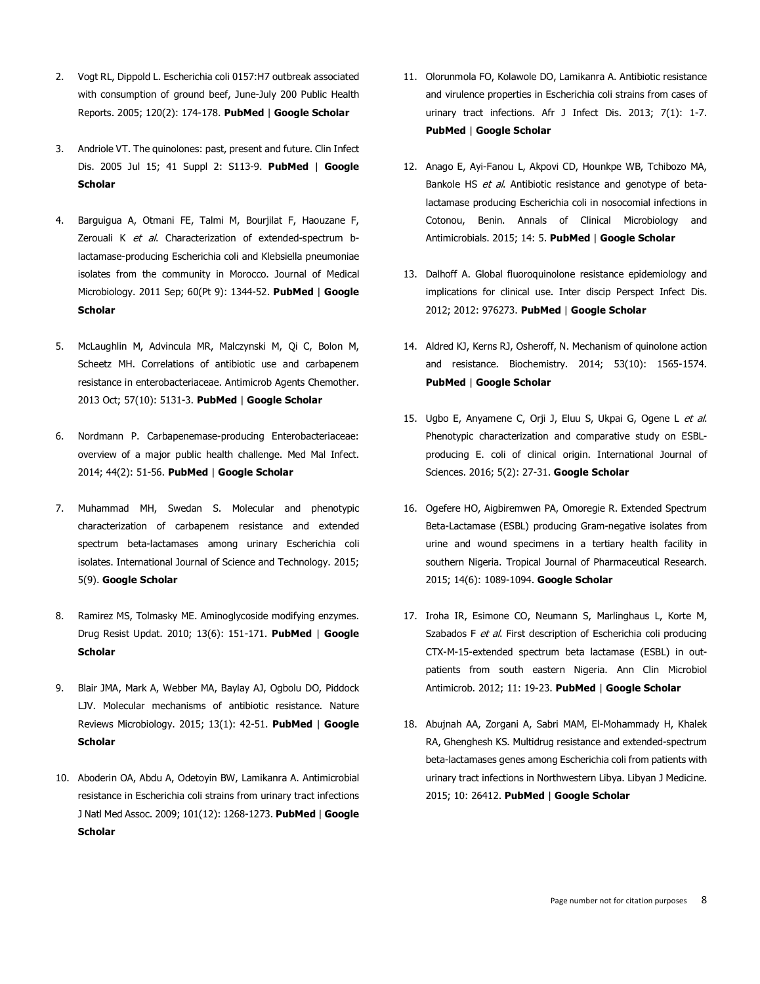- 2. Vogt RL, Dippold L. Escherichia coli 0157:H7 outbreak associated with consumption of ground beef, June-July 200 Public Health Reports. 2005; 120(2): 174-178. **[PubMed](https://www.ncbi.nlm.nih.gov/pmc/articles/PMC1497708/)** | **Google [Scholar](http://scholar.google.com/scholar?hl=en&q=+Escherichia+coli+0157:H7+outbreak+associated+with+consumption+of+ground+beef+June-July+2002)**
- 3. Andriole VT. The quinolones: past, present and future. Clin Infect Dis. 2005 Jul 15; 41 Suppl 2: S113-9. **[PubMed](http://www.ncbi.nlm.nih.gov/entrez/query.fcgi?db=PubMed&cmd=Search&doptcmdl=Citation&defaultField=Title+Word&term=Andriole%20VT%5bauthor%5d+AND++The+quinolones:+past+present+and+future)** | **[Google](http://scholar.google.com/scholar?hl=en&q=+The+quinolones:+past+present+and+future) [Scholar](http://scholar.google.com/scholar?hl=en&q=+The+quinolones:+past+present+and+future)**
- 4. Barguigua A, Otmani FE, Talmi M, Bourjilat F, Haouzane F, Zerouali K et al. Characterization of extended-spectrum blactamase-producing Escherichia coli and Klebsiella pneumoniae isolates from the community in Morocco. Journal of Medical Microbiology. 2011 Sep; 60(Pt 9): 1344-52. **[PubMed](https://www.ncbi.nlm.nih.gov/pubmed/21546559)** | **[Google](http://scholar.google.com/scholar?hl=en&q=+Characterization+of+extended-spectrum+b-lactamase-producing+Escherichia+coli+and+Klebsiella+pneumoniae+isolates+from+the+community+in+Morocco) [Scholar](http://scholar.google.com/scholar?hl=en&q=+Characterization+of+extended-spectrum+b-lactamase-producing+Escherichia+coli+and+Klebsiella+pneumoniae+isolates+from+the+community+in+Morocco)**
- 5. McLaughlin M, Advincula MR, Malczynski M, Qi C, Bolon M, Scheetz MH. Correlations of antibiotic use and carbapenem resistance in enterobacteriaceae. Antimicrob Agents Chemother. 2013 Oct; 57(10): 5131-3. **[PubMed](http://www.ncbi.nlm.nih.gov/entrez/query.fcgi?db=PubMed&cmd=Search&doptcmdl=Citation&defaultField=Title+Word&term=McLaughlin%20M%5bauthor%5d+AND++Correlations+of+antibiotic+use+and+carbapenem+resistance+in+enterobacteriaceae)** | **Google [Scholar](http://scholar.google.com/scholar?hl=en&q=+Correlations+of+antibiotic+use+and+carbapenem+resistance+in+enterobacteriaceae)**
- 6. Nordmann P. Carbapenemase-producing Enterobacteriaceae: overview of a major public health challenge. Med Mal Infect. 2014; 44(2): 51-56. **[PubMed](http://www.ncbi.nlm.nih.gov/entrez/query.fcgi?db=PubMed&cmd=Search&doptcmdl=Citation&defaultField=Title+Word&term=Nordmann%20P%5bauthor%5d+AND++Carbapenemase-producing+Enterobacteriaceae:+overview+of+a+major+public+health+challenge)** | **Google [Scholar](http://scholar.google.com/scholar?hl=en&q=+Carbapenemase-producing+Enterobacteriaceae:+overview+of+a+major+public+health+challenge)**
- 7. Muhammad MH, Swedan S. Molecular and phenotypic characterization of carbapenem resistance and extended spectrum beta-lactamases among urinary Escherichia coli isolates. International Journal of Science and Technology. 2015; 5(9). **Google [Scholar](http://scholar.google.com/scholar?hl=en&q=+Molecular+and+phenotypic+characterization+of+carbapenem+resistance+and+extended+spectrum+beta-lactamases+among+urinary+Escherichia+coli+isolates)**
- 8. Ramirez MS, Tolmasky ME. Aminoglycoside modifying enzymes. Drug Resist Updat. 2010; 13(6): 151-171. **[PubMed](http://www.ncbi.nlm.nih.gov/entrez/query.fcgi?db=PubMed&cmd=Search&doptcmdl=Citation&defaultField=Title+Word&term=Ramirez%20MS%5bauthor%5d+AND++Aminoglycoside+modifying+enzymes)** | **[Google](http://scholar.google.com/scholar?hl=en&q=+Aminoglycoside+modifying+enzymes) [Scholar](http://scholar.google.com/scholar?hl=en&q=+Aminoglycoside+modifying+enzymes)**
- 9. Blair JMA, Mark A, Webber MA, Baylay AJ, Ogbolu DO, Piddock LJV. Molecular mechanisms of antibiotic resistance. Nature Reviews Microbiology. 2015; 13(1): 42-51. **[PubMed](https://www.ncbi.nlm.nih.gov/pubmed/25435309)** | **[Google](http://scholar.google.com/scholar?hl=en&q=+Molecular+mechanisms+of+antibiotic+resistance) [Scholar](http://scholar.google.com/scholar?hl=en&q=+Molecular+mechanisms+of+antibiotic+resistance)**
- 10. Aboderin OA, Abdu A, Odetoyin BW, Lamikanra A. Antimicrobial resistance in Escherichia coli strains from urinary tract infections J Natl Med Assoc. 2009; 101(12): 1268-1273. **[PubMed](https://www.ncbi.nlm.nih.gov/pubmed/20070015)** | **[Google](https://scholar.google.com/scholar?hl=en&as_sdt=0%2C5&q=Antimicrobial+resistance+in+Escherichia+coli+strains+from+urinary+tract+infections+J+Natl+Med+Assoc.+2009&btnG=) [Scholar](https://scholar.google.com/scholar?hl=en&as_sdt=0%2C5&q=Antimicrobial+resistance+in+Escherichia+coli+strains+from+urinary+tract+infections+J+Natl+Med+Assoc.+2009&btnG=)**
- 11. Olorunmola FO, Kolawole DO, Lamikanra A. Antibiotic resistance and virulence properties in Escherichia coli strains from cases of urinary tract infections. Afr J Infect Dis. 2013; 7(1): 1-7. **[PubMed](http://www.ncbi.nlm.nih.gov/entrez/query.fcgi?db=PubMed&cmd=Search&doptcmdl=Citation&defaultField=Title+Word&term=Olorunmola%20FO%5bauthor%5d+AND++Antibiotic+resistance+and+virulence+properties+in+Escherichia+coli+strains+from+cases+of+urinary+tract+infections)** | **Google [Scholar](http://scholar.google.com/scholar?hl=en&q=+Antibiotic+resistance+and+virulence+properties+in+Escherichia+coli+strains+from+cases+of+urinary+tract+infections)**
- 12. Anago E, Ayi-Fanou L, Akpovi CD, Hounkpe WB, Tchibozo MA, Bankole HS et al. Antibiotic resistance and genotype of betalactamase producing Escherichia coli in nosocomial infections in Cotonou, Benin. Annals of Clinical Microbiology and Antimicrobials. 2015; 14: 5. **[PubMed](http://www.ncbi.nlm.nih.gov/entrez/query.fcgi?db=PubMed&cmd=Search&doptcmdl=Citation&defaultField=Title+Word&term=Anago%20E%5bauthor%5d+AND++Antibiotic+resistance+and+genotype+of+beta-lactamase+producing+Escherichia+coli+in+nosocomial+infections+in+Cotonou+Benin)** | **Google [Scholar](http://scholar.google.com/scholar?hl=en&q=+Antibiotic+resistance+and+genotype+of+beta-lactamase+producing+Escherichia+coli+in+nosocomial+infections+in+Cotonou+Benin)**
- 13. Dalhoff A. Global fluoroquinolone resistance epidemiology and implications for clinical use. Inter discip Perspect Infect Dis. 2012; 2012: 976273. **[PubMed](https://www.ncbi.nlm.nih.gov/pubmed/23097666)** | **Google [Scholar](http://scholar.google.com/scholar?hl=en&q=+Global+fluoroquinolone+resistance+epidemiology+and+implications+for+clinical+use)**
- 14. Aldred KJ, Kerns RJ, Osheroff, N. Mechanism of quinolone action and resistance. Biochemistry. 2014; 53(10): 1565-1574. **[PubMed](http://www.ncbi.nlm.nih.gov/entrez/query.fcgi?db=PubMed&cmd=Search&doptcmdl=Citation&defaultField=Title+Word&term=Aldred%20KJ%5bauthor%5d+AND++Mechanism+of+quinolone+action+and+resistance)** | **Google [Scholar](http://scholar.google.com/scholar?hl=en&q=+Mechanism+of+quinolone+action+and+resistance)**
- 15. Ugbo E, Anyamene C, Orji J, Eluu S, Ukpai G, Ogene L et al. Phenotypic characterization and comparative study on ESBLproducing E. coli of clinical origin. International Journal of Sciences. 2016; 5(2): 27-31. **Google [Scholar](http://scholar.google.com/scholar?hl=en&q=+Phenotypic+characterization+and+comparative+study+on+ESBL-producing+E)**
- 16. Ogefere HO, Aigbiremwen PA, Omoregie R. Extended Spectrum Beta-Lactamase (ESBL) producing Gram-negative isolates from urine and wound specimens in a tertiary health facility in southern Nigeria. Tropical Journal of Pharmaceutical Research. 2015; 14(6): 1089-1094. **Google [Scholar](http://scholar.google.com/scholar?hl=en&q=+Extended+Spectrum+Beta-Lactamase+(ESBL)%96producing+Gram-negative+isolates+from+urine+and+wound+specimens+in+a+tertiary+health+facility+in+southern+Nigeria)**
- 17. Iroha IR, Esimone CO, Neumann S, Marlinghaus L, Korte M, Szabados F et al. First description of Escherichia coli producing CTX-M-15-extended spectrum beta lactamase (ESBL) in outpatients from south eastern Nigeria. Ann Clin Microbiol Antimicrob. 2012; 11: 19-23. **[PubMed](http://www.ncbi.nlm.nih.gov/entrez/query.fcgi?db=PubMed&cmd=Search&doptcmdl=Citation&defaultField=Title+Word&term=Iroha%20IR%5bauthor%5d+AND++First+description+of+Escherichia+coli+producing+CTX-M-15-extended+spectrum+beta+lactamase+(ESBL)+in+out-patients+from+south+eastern+Nigeria)** | **Google [Scholar](http://scholar.google.com/scholar?hl=en&q=+First+description+of+Escherichia+coli+producing+CTX-M-15-extended+spectrum+beta+lactamase+(ESBL)+in+out-patients+from+south+eastern+Nigeria)**
- 18. Abujnah AA, Zorgani A, Sabri MAM, El-Mohammady H, Khalek RA, Ghenghesh KS. Multidrug resistance and extended-spectrum beta-lactamases genes among Escherichia coli from patients with urinary tract infections in Northwestern Libya. Libyan J Medicine. 2015; 10: 26412. **[PubMed](https://www.ncbi.nlm.nih.gov/pubmed/25651907)** | **Google [Scholar](http://scholar.google.com/scholar?hl=en&q=+Multidrug+resistance+and+extended-spectrum+beta-lactamases+genes+among+Escherichia+coli+from+patients+with+urinary+tract+infections+in+Northwestern+Libya)**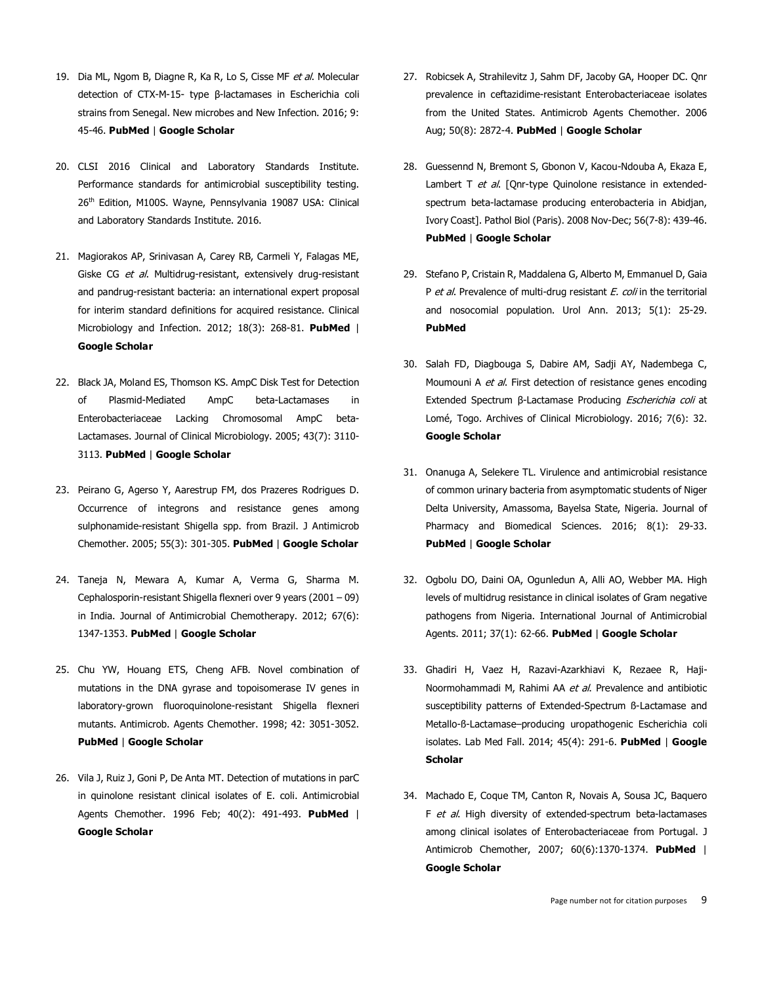- 19. Dia ML, Ngom B, Diagne R, Ka R, Lo S, Cisse MF et al. Molecular detection of CTX-M-15- type β-lactamases in Escherichia coli strains from Senegal. New microbes and New Infection. 2016; 9: 45-46. **[PubMed](http://www.ncbi.nlm.nih.gov/entrez/query.fcgi?db=PubMed&cmd=Search&doptcmdl=Citation&defaultField=Title+Word&term=Dia%20ML%5bauthor%5d+AND++Molecular+detection+of+CTX-M-15-+type+?-lactamases+in+Escherichia+coli+strains+from+Senegal)** | **Google [Scholar](http://scholar.google.com/scholar?hl=en&q=+Molecular+detection+of+CTX-M-15-+type+?-lactamases+in+Escherichia+coli+strains+from+Senegal)**
- 20. CLSI 2016 Clinical and Laboratory Standards Institute. Performance standards for antimicrobial susceptibility testing. 26<sup>th</sup> Edition, M100S. Wayne, Pennsylvania 19087 USA: Clinical and Laboratory Standards Institute. 2016.
- 21. Magiorakos AP, Srinivasan A, Carey RB, Carmeli Y, Falagas ME, Giske CG et al. Multidrug-resistant, extensively drug-resistant and pandrug-resistant bacteria: an international expert proposal for interim standard definitions for acquired resistance. Clinical Microbiology and Infection. 2012; 18(3): 268-81. **[PubMed](http://www.ncbi.nlm.nih.gov/entrez/query.fcgi?db=PubMed&cmd=Search&doptcmdl=Citation&defaultField=Title+Word&term=Magiorakos%20AP%5bauthor%5d+AND++Multidrug-resistant+extensively+drug-resistant+and+pandrug-resistant+bacteria:+an+international+expert+proposal+for+interim+standard+definitions+for+acquired+resistance)** | **Google [Scholar](http://scholar.google.com/scholar?hl=en&q=+Multidrug-resistant+extensively+drug-resistant+and+pandrug-resistant+bacteria:+an+international+expert+proposal+for+interim+standard+definitions+for+acquired+resistance)**
- 22. Black JA, Moland ES, Thomson KS. AmpC Disk Test for Detection of Plasmid-Mediated AmpC beta-Lactamases in Enterobacteriaceae Lacking Chromosomal AmpC beta-Lactamases. Journal of Clinical Microbiology. 2005; 43(7): 3110- 3113. **[PubMed](http://www.ncbi.nlm.nih.gov/entrez/query.fcgi?db=PubMed&cmd=Search&doptcmdl=Citation&defaultField=Title+Word&term=Black%20JA%5bauthor%5d+AND++AmpC+Disk+Test+for+Detection+of+Plasmid-Mediated+AmpC+beta-Lactamases+in+Enterobacteriaceae+Lacking+Chromosomal+AmpC+beta-Lactamases)** | **Google [Scholar](http://scholar.google.com/scholar?hl=en&q=+AmpC+Disk+Test+for+Detection+of+Plasmid-Mediated+AmpC+beta-Lactamases+in+Enterobacteriaceae+Lacking+Chromosomal+AmpC+beta-Lactamases)**
- 23. Peirano G, Agerso Y, Aarestrup FM, dos Prazeres Rodrigues D. Occurrence of integrons and resistance genes among sulphonamide-resistant Shigella spp. from Brazil. J Antimicrob Chemother. 2005; 55(3): 301-305. **[PubMed](http://www.ncbi.nlm.nih.gov/entrez/query.fcgi?db=PubMed&cmd=Search&doptcmdl=Citation&defaultField=Title+Word&term=Peirano%20G%5bauthor%5d+AND++Occurrence+of+integrons+and+resistance+genes+among+sulphonamide-resistant+Shigella+spp)** | **Google [Scholar](http://scholar.google.com/scholar?hl=en&q=+Occurrence+of+integrons+and+resistance+genes+among+sulphonamide-resistant+Shigella+spp)**
- 24. Taneja N, Mewara A, Kumar A, Verma G, Sharma M. Cephalosporin-resistant Shigella flexneri over 9 years (2001 – 09) in India. Journal of Antimicrobial Chemotherapy. 2012; 67(6): 1347-1353. **[PubMed](http://www.ncbi.nlm.nih.gov/entrez/query.fcgi?db=PubMed&cmd=Search&doptcmdl=Citation&defaultField=Title+Word&term=Taneja%20N%5bauthor%5d+AND++Cephalosporin-resistant+Shigella+flexneri+over+9+years+(2001+%96+09)+in+India)** | **Google [Scholar](http://scholar.google.com/scholar?hl=en&q=+Cephalosporin-resistant+Shigella+flexneri+over+9+years+(2001+%96+09)+in+India)**
- 25. Chu YW, Houang ETS, Cheng AFB. Novel combination of mutations in the DNA gyrase and topoisomerase IV genes in laboratory-grown fluoroquinolone-resistant Shigella flexneri mutants. Antimicrob. Agents Chemother. 1998; 42: 3051-3052. **[PubMed](http://www.ncbi.nlm.nih.gov/entrez/query.fcgi?db=PubMed&cmd=Search&doptcmdl=Citation&defaultField=Title+Word&term=Chu%20YW%5bauthor%5d+AND++Novel+combination+of+mutations+in+the+DNA+gyrase+and+topoisomerase+IV+genes+in+laboratory-grown+fluoroquinolone-resistant+Shigella+flexneri+mutants)** | **Google [Scholar](http://scholar.google.com/scholar?hl=en&q=+Novel+combination+of+mutations+in+the+DNA+gyrase+and+topoisomerase+IV+genes+in+laboratory-grown+fluoroquinolone-resistant+Shigella+flexneri+mutants)**
- 26. Vila J, Ruiz J, Goni P, De Anta MT. Detection of mutations in parC in quinolone resistant clinical isolates of E. coli. Antimicrobial Agents Chemother. 1996 Feb; 40(2): 491-493. **[PubMed](https://www.ncbi.nlm.nih.gov/pubmed/?term=Vila+J%2C+Ruiz+J%2C+Goni+P%2C+De+Anta+MT.+Detection+of+mutations+in+parC+in+quinolone+resistant+clinical+isolates+of+E.+coli.+Antimicrobial+Agents+Chemother.+1996+Feb)** | **Google [Scholar](http://scholar.google.com/scholar?hl=en&q=+Detection+of+mutations+in+parC+in+quinolone+resistant+clinical+isolates+of+E)**
- 27. Robicsek A, Strahilevitz J, Sahm DF, Jacoby GA, Hooper DC. Qnr prevalence in ceftazidime-resistant Enterobacteriaceae isolates from the United States. Antimicrob Agents Chemother. 2006 Aug; 50(8): 2872-4. **[PubMed](http://www.ncbi.nlm.nih.gov/entrez/query.fcgi?db=PubMed&cmd=Search&doptcmdl=Citation&defaultField=Title+Word&term=Robicsek%20A%5bauthor%5d+AND++Qnr+prevalence+in+ceftazidime-resistant+Enterobacteriaceae+isolates+from+the+United+States)** | **Google [Scholar](http://scholar.google.com/scholar?hl=en&q=+Qnr+prevalence+in+ceftazidime-resistant+Enterobacteriaceae+isolates+from+the+United+States)**
- 28. Guessennd N, Bremont S, Gbonon V, Kacou-Ndouba A, Ekaza E, Lambert T et al. [Onr-type Quinolone resistance in extendedspectrum beta-lactamase producing enterobacteria in Abidjan, Ivory Coast]. Pathol Biol (Paris). 2008 Nov-Dec; 56(7-8): 439-46. **[PubMed](http://www.ncbi.nlm.nih.gov/entrez/query.fcgi?db=PubMed&cmd=Search&doptcmdl=Citation&defaultField=Title+Word&term=Guessennd%20N%5bauthor%5d+AND++Qnr-type+Quinolone+resistance+in+extended-spectrum+beta-lactamase+producing+enterobacteria+in+Abidjan+Ivory+Coast%5d)** | **Google [Scholar](http://scholar.google.com/scholar?hl=en&q=+Qnr-type+Quinolone+resistance+in+extended-spectrum+beta-lactamase+producing+enterobacteria+in+Abidjan+Ivory+Coast%5d)**
- 29. Stefano P, Cristain R, Maddalena G, Alberto M, Emmanuel D, Gaia P et al. Prevalence of multi-drug resistant E. coli in the territorial and nosocomial population. Urol Ann. 2013; 5(1): 25-29. **[PubMed](https://www.ncbi.nlm.nih.gov/pmc/articles/PMC3643319/)**
- 30. Salah FD, Diagbouga S, Dabire AM, Sadji AY, Nadembega C, Moumouni A et al. First detection of resistance genes encoding Extended Spectrum β-Lactamase Producing Escherichia coli at Lomé, Togo. Archives of Clinical Microbiology. 2016; 7(6): 32. **Google [Scholar](http://scholar.google.com/scholar?hl=en&q=+First+detection+of+resistance+genes+encoding+Extended+Spectrum+?-Lactamase+Producing+Escherichia+coli+at+Lom%E9+Togo)**
- 31. Onanuga A, Selekere TL. Virulence and antimicrobial resistance of common urinary bacteria from asymptomatic students of Niger Delta University, Amassoma, Bayelsa State, Nigeria. Journal of Pharmacy and Biomedical Sciences. 2016; 8(1): 29-33. **[PubMed](http://www.ncbi.nlm.nih.gov/entrez/query.fcgi?db=PubMed&cmd=Search&doptcmdl=Citation&defaultField=Title+Word&term=Onanuga%20A%5bauthor%5d+AND++Virulence+and+antimicrobial+resistance+of+common+urinary+bacteria+from+asymptomatic+students+of+Niger+Delta+University+Amassoma+Bayelsa+State+Nigeria)** | **Google [Scholar](http://scholar.google.com/scholar?hl=en&q=+Virulence+and+antimicrobial+resistance+of+common+urinary+bacteria+from+asymptomatic+students+of+Niger+Delta+University+Amassoma+Bayelsa+State+Nigeria)**
- 32. Ogbolu DO, Daini OA, Ogunledun A, Alli AO, Webber MA. High levels of multidrug resistance in clinical isolates of Gram negative pathogens from Nigeria. International Journal of Antimicrobial Agents. 2011; 37(1): 62-66. **[PubMed](http://www.ncbi.nlm.nih.gov/entrez/query.fcgi?db=PubMed&cmd=Search&doptcmdl=Citation&defaultField=Title+Word&term=Ogbolu%20DO%5bauthor%5d+AND++High+levels+of+multidrug+resistance+in+clinical+isolates+of+Gram+negative+pathogens+from+Nigeria)** | **Google [Scholar](http://scholar.google.com/scholar?hl=en&q=+High+levels+of+multidrug+resistance+in+clinical+isolates+of+Gram+negative+pathogens+from+Nigeria)**
- 33. Ghadiri H, Vaez H, Razavi-Azarkhiavi K, Rezaee R, Haji-Noormohammadi M, Rahimi AA et al. Prevalence and antibiotic susceptibility patterns of Extended-Spectrum ß-Lactamase and Metallo-ß-Lactamase–producing uropathogenic Escherichia coli isolates. Lab Med Fall. 2014; 45(4): 291-6. **[PubMed](http://www.ncbi.nlm.nih.gov/entrez/query.fcgi?db=PubMed&cmd=Search&doptcmdl=Citation&defaultField=Title+Word&term=Ghadiri%20H%5bauthor%5d+AND++Prevalence+and+antibiotic+susceptibility+patterns+of+Extended-Spectrum+%DF-Lactamase+and+Metallo-%DF-Lactamase%96producing+uropathogenic+Escherichia+coli+isolates)** | **[Google](http://scholar.google.com/scholar?hl=en&q=+Prevalence+and+antibiotic+susceptibility+patterns+of+Extended-Spectrum+%DF-Lactamase+and+Metallo-%DF-Lactamase%96producing+uropathogenic+Escherichia+coli+isolates) [Scholar](http://scholar.google.com/scholar?hl=en&q=+Prevalence+and+antibiotic+susceptibility+patterns+of+Extended-Spectrum+%DF-Lactamase+and+Metallo-%DF-Lactamase%96producing+uropathogenic+Escherichia+coli+isolates)**
- 34. Machado E, Coque TM, Canton R, Novais A, Sousa JC, Baquero F et al. High diversity of extended-spectrum beta-lactamases among clinical isolates of Enterobacteriaceae from Portugal. J Antimicrob Chemother, 2007; 60(6):1370-1374. **[PubMed](https://www.ncbi.nlm.nih.gov/pubmed/17913717)** | **Google [Scholar](http://scholar.google.com/scholar?hl=en&q=+High+diversity+of+extended-spectrum+beta-lactamases+among+clinical+isolates+of+Enterobacteriaceae+from+Portugal)**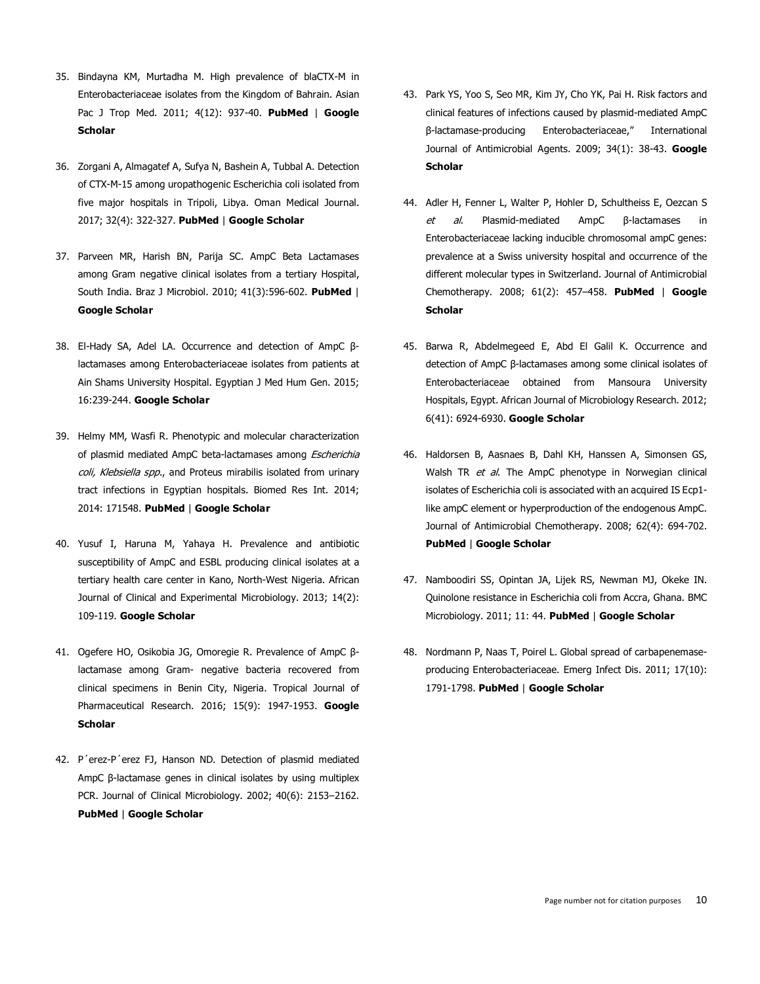- 35. Bindayna KM, Murtadha M. High prevalence of blaCTX-M in Enterobacteriaceae isolates from the Kingdom of Bahrain. Asian Pac J Trop Med. 2011; 4(12): 937-40. **[PubMed](http://www.ncbi.nlm.nih.gov/entrez/query.fcgi?db=PubMed&cmd=Search&doptcmdl=Citation&defaultField=Title+Word&term=Bindayna%20KM%5bauthor%5d+AND++High+prevalence+of+blaCTX-M+in+Enterobacteriaceae+isolates+from+the+Kingdom+of+Bahrain)** | **[Google](http://scholar.google.com/scholar?hl=en&q=+High+prevalence+of+blaCTX-M+in+Enterobacteriaceae+isolates+from+the+Kingdom+of+Bahrain) [Scholar](http://scholar.google.com/scholar?hl=en&q=+High+prevalence+of+blaCTX-M+in+Enterobacteriaceae+isolates+from+the+Kingdom+of+Bahrain)**
- 36. Zorgani A, Almagatef A, Sufya N, Bashein A, Tubbal A. Detection of CTX-M-15 among uropathogenic Escherichia coli isolated from five major hospitals in Tripoli, Libya. Oman Medical Journal. 2017; 32(4): 322-327. **[PubMed](http://www.ncbi.nlm.nih.gov/entrez/query.fcgi?db=PubMed&cmd=Search&doptcmdl=Citation&defaultField=Title+Word&term=Zorgani%20A%5bauthor%5d+AND++Detection+of+CTX-M-15+among+uropathogenic+Escherichia+coli+isolated+from+five+major+hospitals+in+Tripoli+Libya)** | **Google [Scholar](http://scholar.google.com/scholar?hl=en&q=+Detection+of+CTX-M-15+among+uropathogenic+Escherichia+coli+isolated+from+five+major+hospitals+in+Tripoli+Libya)**
- 37. Parveen MR, Harish BN, Parija SC. AmpC Beta Lactamases among Gram negative clinical isolates from a tertiary Hospital, South India. Braz J Microbiol. 2010; 41(3):596-602. **[PubMed](https://www.ncbi.nlm.nih.gov/pubmed/24031534)** | **Google [Scholar](http://scholar.google.com/scholar?hl=en&q=+AmpC+Beta+Lactamases+among+Gram+negative+clinical+isolates+from+a+tertiary+Hospital+South+India)**
- 38. El-Hady SA, Adel LA. Occurrence and detection of AmpC βlactamases among Enterobacteriaceae isolates from patients at Ain Shams University Hospital. Egyptian J Med Hum Gen. 2015; 16:239-244. **Google [Scholar](http://scholar.google.com/scholar?hl=en&q=+Occurrence+and+detection+of+AmpC+?-lactamases+among+Enterobacteriaceae+isolates+from+patients+at+Ain+Shams+University+Hospital)**
- 39. Helmy MM, Wasfi R. Phenotypic and molecular characterization of plasmid mediated AmpC beta-lactamases among Escherichia coli, Klebsiella spp., and Proteus mirabilis isolated from urinary tract infections in Egyptian hospitals. Biomed Res Int. 2014; 2014: 171548. **[PubMed](http://www.ncbi.nlm.nih.gov/entrez/query.fcgi?db=PubMed&cmd=Search&doptcmdl=Citation&defaultField=Title+Word&term=Helmy%20MM%5bauthor%5d+AND++Phenotypic+and+molecular+characterization+of+plasmid+mediated+AmpC+beta-lactamases+among+Escherichia+coli+Klebsiella+spp)** | **Google [Scholar](http://scholar.google.com/scholar?hl=en&q=+Phenotypic+and+molecular+characterization+of+plasmid+mediated+AmpC+beta-lactamases+among+Escherichia+coli+Klebsiella+spp)**
- 40. Yusuf I, Haruna M, Yahaya H. Prevalence and antibiotic susceptibility of AmpC and ESBL producing clinical isolates at a tertiary health care center in Kano, North-West Nigeria. African Journal of Clinical and Experimental Microbiology. 2013; 14(2): 109-119. **Google [Scholar](http://scholar.google.com/scholar?hl=en&q=+Prevalence+and+antibiotic+susceptibility+of+AmpC+and+ESBL+producing+clinical+isolates+at+a+tertiary+health+care+center+in+Kano+North-West+Nigeria)**
- 41. Ogefere HO, Osikobia JG, Omoregie R. Prevalence of AmpC βlactamase among Gram- negative bacteria recovered from clinical specimens in Benin City, Nigeria. Tropical Journal of Pharmaceutical Research. 2016; 15(9): 1947-1953. **[Google](http://scholar.google.com/scholar?hl=en&q=+Prevalence+of+AmpC+?-lactamase+among+Gram-+negative+bacteria+recovered+from+clinical+specimens+in+Benin+City+Nigeria) [Scholar](http://scholar.google.com/scholar?hl=en&q=+Prevalence+of+AmpC+?-lactamase+among+Gram-+negative+bacteria+recovered+from+clinical+specimens+in+Benin+City+Nigeria)**
- 42. P´erez-P´erez FJ, Hanson ND. Detection of plasmid mediated AmpC β-lactamase genes in clinical isolates by using multiplex PCR. Journal of Clinical Microbiology. 2002; 40(6): 2153–2162. **[PubMed](https://www.ncbi.nlm.nih.gov/pubmed/12037080)** | **Google [Scholar](http://scholar.google.com/scholar?hl=en&q=+Detection+of+plasmid+mediated+AmpC+??-lactamase+genes+in+clinical+isolates+by+using+multiplex+PCR)**
- 43. Park YS, Yoo S, Seo MR, Kim JY, Cho YK, Pai H. Risk factors and clinical features of infections caused by plasmid-mediated AmpC β-lactamase-producing Enterobacteriaceae," International Journal of Antimicrobial Agents. 2009; 34(1): 38-43. **[Google](http://scholar.google.com/scholar?hl=en&q=+Risk+factors+and+clinical+features+of+infections+caused+by+plasmid-mediated+AmpC+??-lactamase-producing+Enterobacteriaceae%94+International+Journal+of+Antimicrobial+Agents) [Scholar](http://scholar.google.com/scholar?hl=en&q=+Risk+factors+and+clinical+features+of+infections+caused+by+plasmid-mediated+AmpC+??-lactamase-producing+Enterobacteriaceae%94+International+Journal+of+Antimicrobial+Agents)**
- 44. Adler H, Fenner L, Walter P, Hohler D, Schultheiss E, Oezcan S et al. Plasmid-mediated AmpC β-lactamases in Enterobacteriaceae lacking inducible chromosomal ampC genes: prevalence at a Swiss university hospital and occurrence of the different molecular types in Switzerland. Journal of Antimicrobial Chemotherapy. 2008; 61(2): 457–458. **[PubMed](http://www.ncbi.nlm.nih.gov/entrez/query.fcgi?db=PubMed&cmd=Search&doptcmdl=Citation&defaultField=Title+Word&term=Adler%20H%5bauthor%5d+AND++Plasmid-mediated+AmpC+??-lactamases+in+Enterobacteriaceae+lacking+inducible+chromosomal+ampC+genes:+prevalence+at+a+Swiss+university+hospital+and+occurrence+of+the+different+molecular+types+in+Switzerland)** | **[Google](http://scholar.google.com/scholar?hl=en&q=+Plasmid-mediated+AmpC+??-lactamases+in+Enterobacteriaceae+lacking+inducible+chromosomal+ampC+genes:+prevalence+at+a+Swiss+university+hospital+and+occurrence+of+the+different+molecular+types+in+Switzerland) [Scholar](http://scholar.google.com/scholar?hl=en&q=+Plasmid-mediated+AmpC+??-lactamases+in+Enterobacteriaceae+lacking+inducible+chromosomal+ampC+genes:+prevalence+at+a+Swiss+university+hospital+and+occurrence+of+the+different+molecular+types+in+Switzerland)**
- 45. Barwa R, Abdelmegeed E, Abd El Galil K. Occurrence and detection of AmpC β-lactamases among some clinical isolates of Enterobacteriaceae obtained from Mansoura University Hospitals, Egypt. African Journal of Microbiology Research. 2012; 6(41): 6924-6930. **Google [Scholar](http://scholar.google.com/scholar?hl=en&q=+Occurrence+and+detection+of+AmpC+??-lactamases+among+some+clinical+isolates+of+Enterobacteriaceae+obtained+from+Mansoura+University+Hospitals+Egypt)**
- 46. Haldorsen B, Aasnaes B, Dahl KH, Hanssen A, Simonsen GS, Walsh TR et al. The AmpC phenotype in Norwegian clinical isolates of Escherichia coli is associated with an acquired IS Ecp1 like ampC element or hyperproduction of the endogenous AmpC. Journal of Antimicrobial Chemotherapy. 2008; 62(4): 694-702. **[PubMed](http://www.ncbi.nlm.nih.gov/entrez/query.fcgi?db=PubMed&cmd=Search&doptcmdl=Citation&defaultField=Title+Word&term=Haldorsen%20B%5bauthor%5d+AND++The+AmpC+phenotype+in+Norwegian+clinical+isolates+of+Escherichia+coli+is+associated+with+an+acquired+IS+Ecp1-like+ampC+element+or+hyperproduction+of+the+endogenous+AmpC)** | **Google [Scholar](http://scholar.google.com/scholar?hl=en&q=+The+AmpC+phenotype+in+Norwegian+clinical+isolates+of+Escherichia+coli+is+associated+with+an+acquired+IS+Ecp1-like+ampC+element+or+hyperproduction+of+the+endogenous+AmpC)**
- 47. Namboodiri SS, Opintan JA, Lijek RS, Newman MJ, Okeke IN. Quinolone resistance in Escherichia coli from Accra, Ghana. BMC Microbiology. 2011; 11: 44. **[PubMed](http://www.ncbi.nlm.nih.gov/entrez/query.fcgi?db=PubMed&cmd=Search&doptcmdl=Citation&defaultField=Title+Word&term=Namboodiri%20SS%5bauthor%5d+AND++Quinolone+resistance+in+Escherichia+coli+from+Accra+Ghana)** | **Google [Scholar](http://scholar.google.com/scholar?hl=en&q=+Quinolone+resistance+in+Escherichia+coli+from+Accra+Ghana)**
- 48. Nordmann P, Naas T, Poirel L. Global spread of carbapenemaseproducing Enterobacteriaceae. Emerg Infect Dis. 2011; 17(10): 1791-1798. **[PubMed](http://www.ncbi.nlm.nih.gov/entrez/query.fcgi?db=PubMed&cmd=Search&doptcmdl=Citation&defaultField=Title+Word&term=Nordmann%20P%5bauthor%5d+AND++Global+spread+of+carbapenemase-producing+Enterobacteriaceae)** | **Google [Scholar](http://scholar.google.com/scholar?hl=en&q=+Global+spread+of+carbapenemase-producing+Enterobacteriaceae)**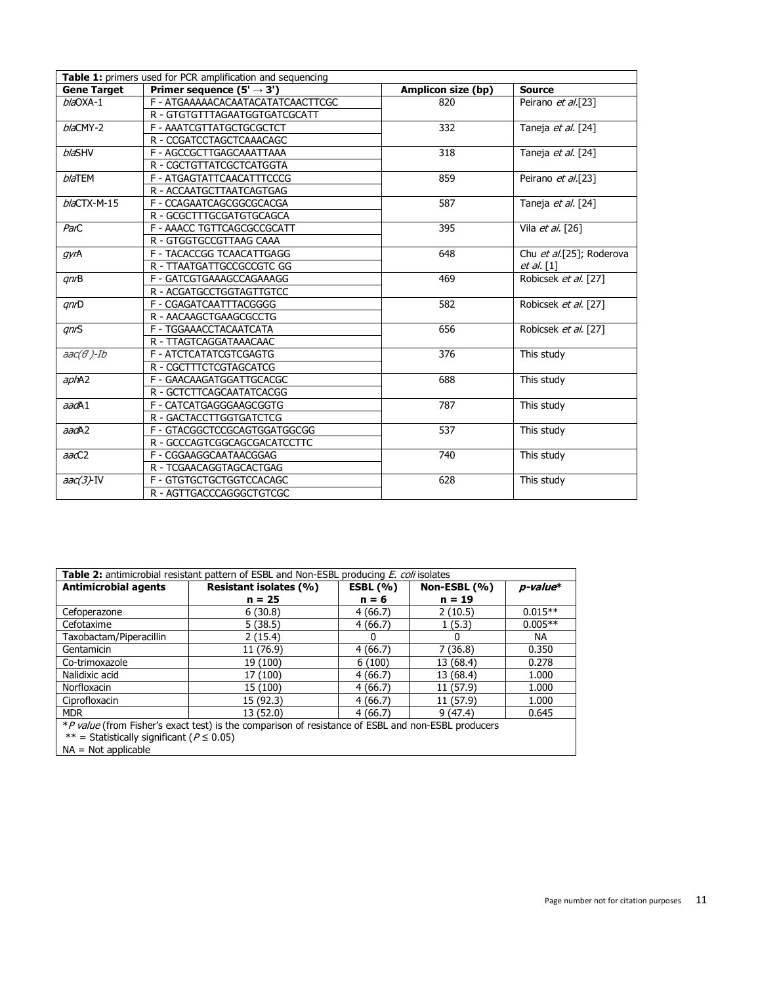| Table 1: primers used for PCR amplification and sequencing |                                       |                    |                          |  |  |  |  |  |
|------------------------------------------------------------|---------------------------------------|--------------------|--------------------------|--|--|--|--|--|
| <b>Gene Target</b>                                         | Primer sequence $(5' \rightarrow 3')$ | Amplicon size (bp) | <b>Source</b>            |  |  |  |  |  |
| $b/a$ OXA-1                                                | F - ATGAAAAACACAATACATATCAACTTCGC     | 820                | Peirano et al.[23]       |  |  |  |  |  |
|                                                            | R - GTGTGTTTAGAATGGTGATCGCATT         |                    |                          |  |  |  |  |  |
| blaCMY-2                                                   | F - AAATCGTTATGCTGCGCTCT              | 332                | Taneja et al. [24]       |  |  |  |  |  |
|                                                            | R - CCGATCCTAGCTCAAACAGC              |                    |                          |  |  |  |  |  |
| <b>blaSHV</b>                                              | F - AGCCGCTTGAGCAAATTAAA              | 318                | Taneja et al. [24]       |  |  |  |  |  |
|                                                            | R - CGCTGTTATCGCTCATGGTA              |                    |                          |  |  |  |  |  |
| <b>blaTEM</b>                                              | F - ATGAGTATTCAACATTTCCCG             | 859                | Peirano et al.[23]       |  |  |  |  |  |
|                                                            | R - ACCAATGCTTAATCAGTGAG              |                    |                          |  |  |  |  |  |
| $bla$ CTX-M-15                                             | F - CCAGAATCAGCGGCGCACGA              | 587                | Taneja et al. [24]       |  |  |  |  |  |
|                                                            | R - GCGCTTTGCGATGTGCAGCA              |                    |                          |  |  |  |  |  |
| ParC                                                       | F - AAACC TGTTCAGCGCCGCATT            | 395                | Vila et al. [26]         |  |  |  |  |  |
|                                                            | R - GTGGTGCCGTTAAG CAAA               |                    |                          |  |  |  |  |  |
| gyrA                                                       | F - TACACCGG TCAACATTGAGG             | 648                | Chu et al.[25]; Roderova |  |  |  |  |  |
|                                                            | R - TTAATGATTGCCGCCGTC GG             |                    | $et al.$ [1]             |  |  |  |  |  |
| qnB                                                        | F - GATCGTGAAAGCCAGAAAGG              | 469                | Robicsek et al. [27]     |  |  |  |  |  |
|                                                            | R - ACGATGCCTGGTAGTTGTCC              |                    |                          |  |  |  |  |  |
| qnD                                                        | F - CGAGATCAATTTACGGGG                | 582                | Robicsek et al. [27]     |  |  |  |  |  |
|                                                            | R - AACAAGCTGAAGCGCCTG                |                    |                          |  |  |  |  |  |
| qnS                                                        | F - TGGAAACCTACAATCATA                | 656                | Robicsek et al. [27]     |  |  |  |  |  |
|                                                            | R - TTAGTCAGGATAAACAAC                |                    |                          |  |  |  |  |  |
| $\textit{aac}(6)$ -Ib                                      | F - ATCTCATATCGTCGAGTG                | 376                | This study               |  |  |  |  |  |
|                                                            | R - CGCTTTCTCGTAGCATCG                |                    |                          |  |  |  |  |  |
| aphA2                                                      | F - GAACAAGATGGATTGCACGC              | 688                | This study               |  |  |  |  |  |
|                                                            | R - GCTCTTCAGCAATATCACGG              |                    |                          |  |  |  |  |  |
| aadA1                                                      | F - CATCATGAGGGAAGCGGTG               | 787                | This study               |  |  |  |  |  |
|                                                            | R - GACTACCTTGGTGATCTCG               |                    |                          |  |  |  |  |  |
| aadA2                                                      | F - GTACGGCTCCGCAGTGGATGGCGG          | 537                | This study               |  |  |  |  |  |
|                                                            | R - GCCCAGTCGGCAGCGACATCCTTC          |                    |                          |  |  |  |  |  |
| aacC2                                                      | F - CGGAAGGCAATAACGGAG                | 740                | This study               |  |  |  |  |  |
|                                                            | R - TCGAACAGGTAGCACTGAG               |                    |                          |  |  |  |  |  |
| $aac(3)$ -IV                                               | F - GTGTGCTGCTGGTCCACAGC              | 628                | This study               |  |  |  |  |  |
|                                                            | R - AGTTGACCCAGGGCTGTCGC              |                    |                          |  |  |  |  |  |

| Table 2: antimicrobial resistant pattern of ESBL and Non-ESBL producing <i>E. coli</i> isolates    |                        |             |              |                |  |  |  |
|----------------------------------------------------------------------------------------------------|------------------------|-------------|--------------|----------------|--|--|--|
| <b>Antimicrobial agents</b>                                                                        | Resistant isolates (%) | ESBL $(% )$ | Non-ESBL (%) | $p$ -value $*$ |  |  |  |
|                                                                                                    | $n = 25$               | $n = 6$     | $n = 19$     |                |  |  |  |
| Cefoperazone                                                                                       | 6(30.8)                | 4(66.7)     | 2(10.5)      | $0.015**$      |  |  |  |
| Cefotaxime                                                                                         | 5(38.5)                | 4(66.7)     | 1(5.3)       | $0.005**$      |  |  |  |
| Taxobactam/Piperacillin                                                                            | 2(15.4)                | 0           |              | NA.            |  |  |  |
| Gentamicin                                                                                         | 11 (76.9)              | 4(66.7)     | 7(36.8)      | 0.350          |  |  |  |
| Co-trimoxazole                                                                                     | 19 (100)               | 6(100)      | 13 (68.4)    | 0.278          |  |  |  |
| Nalidixic acid                                                                                     | 17 (100)               | 4(66.7)     | 13 (68.4)    | 1.000          |  |  |  |
| Norfloxacin                                                                                        | 15 (100)               | 4(66.7)     | 11 (57.9)    | 1.000          |  |  |  |
| Ciprofloxacin                                                                                      | 15 (92.3)              | 4(66.7)     | 11 (57.9)    | 1.000          |  |  |  |
| <b>MDR</b>                                                                                         | 13 (52.0)              | 4(66.7)     | 9(47.4)      | 0.645          |  |  |  |
| *P value (from Fisher's exact test) is the comparison of resistance of ESBL and non-ESBL producers |                        |             |              |                |  |  |  |
| ** = Statistically significant ( $P \le 0.05$ )                                                    |                        |             |              |                |  |  |  |
| $NA = Not applicable$                                                                              |                        |             |              |                |  |  |  |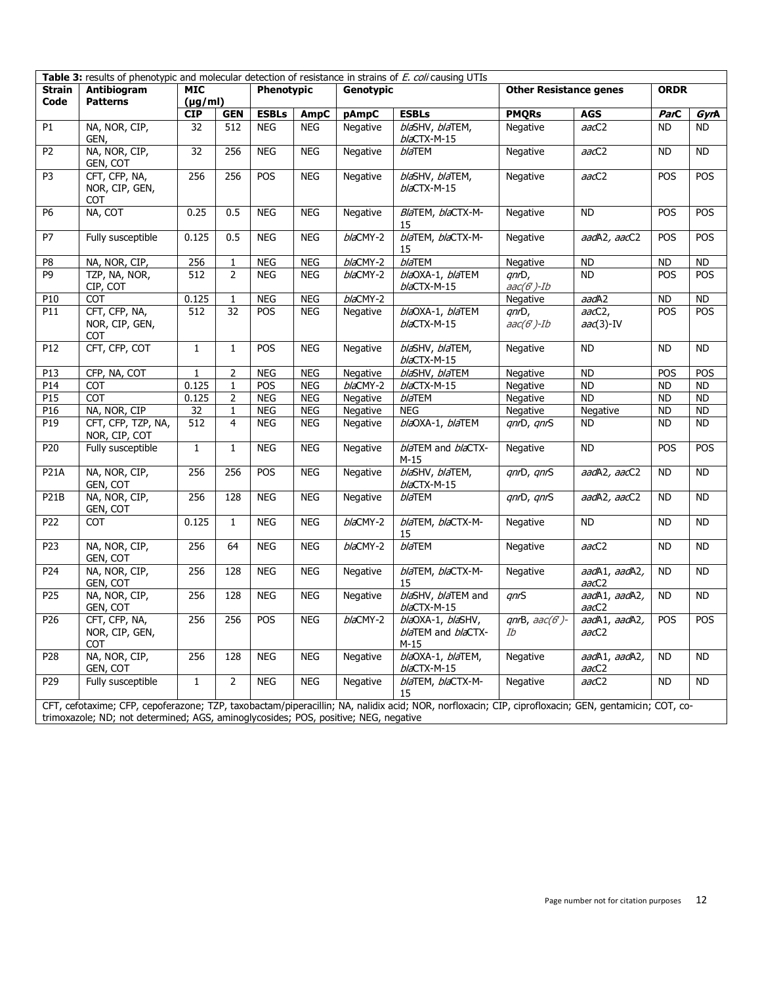| Table 3: results of phenotypic and molecular detection of resistance in strains of E. coli causing UTIs |                                                                                                                                                                                                                                            |                          |                 |                  |            |                               |                                                 |                                   |                         |           |            |
|---------------------------------------------------------------------------------------------------------|--------------------------------------------------------------------------------------------------------------------------------------------------------------------------------------------------------------------------------------------|--------------------------|-----------------|------------------|------------|-------------------------------|-------------------------------------------------|-----------------------------------|-------------------------|-----------|------------|
| Antibiogram<br><b>Strain</b>                                                                            |                                                                                                                                                                                                                                            | <b>MIC</b><br>Phenotypic |                 | <b>Genotypic</b> |            | <b>Other Resistance genes</b> |                                                 | <b>ORDR</b>                       |                         |           |            |
| Code                                                                                                    | <b>Patterns</b>                                                                                                                                                                                                                            | $(\mu g/ml)$             |                 |                  |            |                               |                                                 |                                   |                         |           |            |
|                                                                                                         |                                                                                                                                                                                                                                            | <b>CIP</b>               | <b>GEN</b>      | <b>ESBLs</b>     | AmpC       | pAmpC                         | <b>ESBLs</b>                                    | <b>PMQRs</b>                      | <b>AGS</b>              | ParC      | GyrA       |
| P <sub>1</sub>                                                                                          | NA, NOR, CIP,<br>GEN,                                                                                                                                                                                                                      | 32                       | 512             | <b>NEG</b>       | <b>NEG</b> | Negative                      | blaSHV, blaTEM,<br>blaCTX-M-15                  | Negative                          | aacC2                   | <b>ND</b> | ND.        |
| P <sub>2</sub>                                                                                          | NA, NOR, CIP,<br>GEN, COT                                                                                                                                                                                                                  | 32                       | 256             | <b>NEG</b>       | <b>NEG</b> | Negative                      | <b>blaTEM</b>                                   | Negative                          | aacC2                   | <b>ND</b> | <b>ND</b>  |
| P <sub>3</sub>                                                                                          | CFT, CFP, NA,<br>NOR, CIP, GEN,<br><b>COT</b>                                                                                                                                                                                              | 256                      | 256             | POS              | <b>NEG</b> | Negative                      | blaSHV, blaTEM,<br>$b/a$ CTX-M-15               | Negative                          | aacC2                   | POS       | POS        |
| P <sub>6</sub>                                                                                          | NA, COT                                                                                                                                                                                                                                    | 0.25                     | 0.5             | <b>NEG</b>       | <b>NEG</b> | Negative                      | BlaTEM, blaCTX-M-<br>15                         | Negative                          | <b>ND</b>               | POS       | POS        |
| $\overline{P}$                                                                                          | Fully susceptible                                                                                                                                                                                                                          | 0.125                    | 0.5             | <b>NEG</b>       | <b>NEG</b> | blaCMY-2                      | blaTEM, blaCTX-M-<br>15                         | Negative                          | aadA2, aacC2            | POS       | POS        |
| P8                                                                                                      | NA, NOR, CIP,                                                                                                                                                                                                                              | 256                      | $\mathbf{1}$    | <b>NEG</b>       | <b>NEG</b> | blaCMY-2                      | $b/a$ TEM                                       | Negative                          | <b>ND</b>               | <b>ND</b> | <b>ND</b>  |
| P <sub>9</sub>                                                                                          | TZP, NA, NOR,<br>CIP, COT                                                                                                                                                                                                                  | 512                      | $\overline{2}$  | <b>NEG</b>       | <b>NEG</b> | blaCMY-2                      | blaOXA-1, blaTEM<br>blaCTX-M-15                 | $qnD$ ,<br>$\textit{aac}(6')$ -Ib | <b>ND</b>               | POS       | POS        |
| P10                                                                                                     | <b>COT</b>                                                                                                                                                                                                                                 | 0.125                    | 1               | <b>NEG</b>       | <b>NEG</b> | blaCMY-2                      |                                                 | Negative                          | aadA2                   | <b>ND</b> | <b>ND</b>  |
| P11                                                                                                     | CFT, CFP, NA,<br>NOR, CIP, GEN,<br><b>COT</b>                                                                                                                                                                                              | 512                      | $\overline{32}$ | POS              | <b>NEG</b> | Negative                      | blaOXA-1, blaTEM<br>blaCTX-M-15                 | qnD,<br>$\textit{aac}(6')$ -Ib    | $aacC2$ ,<br>$aa(3)-IV$ | POS       | POS        |
| P12                                                                                                     | CFT, CFP, COT                                                                                                                                                                                                                              | $\mathbf{1}$             | $\mathbf{1}$    | POS              | <b>NEG</b> | Negative                      | blaSHV, blaTEM,<br>$b/a$ CTX-M-15               | Negative                          | <b>ND</b>               | <b>ND</b> | <b>ND</b>  |
| P13                                                                                                     | CFP, NA, COT                                                                                                                                                                                                                               | 1                        | 2               | <b>NEG</b>       | <b>NEG</b> | Negative                      | blaSHV, blaTEM                                  | Negative                          | <b>ND</b>               | POS       | POS        |
| PI4                                                                                                     | <b>COT</b>                                                                                                                                                                                                                                 | 0.125                    | $\mathbf{1}$    | POS              | <b>NEG</b> | blaCMY-2                      | $b/a$ CTX-M-15                                  | Negative                          | <b>ND</b>               | <b>ND</b> | <b>ND</b>  |
| P15                                                                                                     | <b>COT</b>                                                                                                                                                                                                                                 | 0.125                    | 2               | <b>NEG</b>       | <b>NEG</b> | Negative                      | <b>blaTEM</b>                                   | Negative                          | <b>ND</b>               | <b>ND</b> | <b>ND</b>  |
| P16                                                                                                     | NA, NOR, CIP                                                                                                                                                                                                                               | 32                       | $\mathbf{1}$    | <b>NEG</b>       | <b>NEG</b> | Negative                      | <b>NEG</b>                                      | Negative                          | Negative                | <b>ND</b> | <b>ND</b>  |
| P19                                                                                                     | CFT, CFP, TZP, NA,<br>NOR, CIP, COT                                                                                                                                                                                                        | 512                      | 4               | <b>NEG</b>       | <b>NEG</b> | Negative                      | blaOXA-1, blaTEM                                | qnD, qnS                          | ND.                     | <b>ND</b> | <b>ND</b>  |
| P20                                                                                                     | Fully susceptible                                                                                                                                                                                                                          | $\mathbf{1}$             | $\mathbf{1}$    | <b>NEG</b>       | <b>NEG</b> | Negative                      | blaTEM and blaCTX-<br>$M-15$                    | Negative                          | <b>ND</b>               | POS       | POS        |
| <b>P21A</b>                                                                                             | NA, NOR, CIP,<br>GEN, COT                                                                                                                                                                                                                  | 256                      | 256             | POS              | <b>NEG</b> | Negative                      | blaSHV, blaTEM,<br>blaCTX-M-15                  | qnD, qnS                          | aadA2, aacC2            | <b>ND</b> | <b>ND</b>  |
| P <sub>21</sub> B                                                                                       | NA, NOR, CIP,<br>GEN, COT                                                                                                                                                                                                                  | 256                      | 128             | <b>NEG</b>       | <b>NEG</b> | Negative                      | <b>blaTEM</b>                                   | qnrD, qnrS                        | aadA2, aacC2            | <b>ND</b> | <b>ND</b>  |
| P22                                                                                                     | <b>COT</b>                                                                                                                                                                                                                                 | 0.125                    | $\mathbf{1}$    | <b>NEG</b>       | <b>NEG</b> | blaCMY-2                      | blaTEM, blaCTX-M-<br>15                         | Negative                          | <b>ND</b>               | <b>ND</b> | <b>ND</b>  |
| P <sub>23</sub>                                                                                         | NA, NOR, CIP,<br>GEN, COT                                                                                                                                                                                                                  | 256                      | 64              | <b>NEG</b>       | <b>NEG</b> | blaCMY-2                      | <b>blaTEM</b>                                   | Negative                          | aacC2                   | <b>ND</b> | <b>ND</b>  |
| P24                                                                                                     | NA, NOR, CIP,<br>GEN, COT                                                                                                                                                                                                                  | 256                      | 128             | <b>NEG</b>       | <b>NEG</b> | Negative                      | blaTEM, blaCTX-M-<br>15                         | Negative                          | aadA1, aadA2,<br>aacC2  | <b>ND</b> | <b>ND</b>  |
| P25                                                                                                     | NA, NOR, CIP,<br>GEN, COT                                                                                                                                                                                                                  | 256                      | 128             | <b>NEG</b>       | <b>NEG</b> | Negative                      | blaSHV, blaTEM and<br>blaCTX-M-15               | qnS                               | aadA1, aadA2,<br>aacC2  | <b>ND</b> | <b>ND</b>  |
| P <sub>26</sub>                                                                                         | CFT, CFP, NA,<br>NOR, CIP, GEN,<br><b>COT</b>                                                                                                                                                                                              | 256                      | 256             | POS              | <b>NEG</b> | blaCMY-2                      | blaOXA-1, blaSHV,<br>blaTEM and blaCTX-<br>M-15 | $qnB, aac(G)$ -<br>Ib             | aadA1, aadA2,<br>aacC2  | POS       | <b>POS</b> |
| P28                                                                                                     | NA, NOR, CIP,<br>GEN, COT                                                                                                                                                                                                                  | 256                      | 128             | <b>NEG</b>       | <b>NEG</b> | Negative                      | blaOXA-1, blaTEM,<br>blaCTX-M-15                | Negative                          | aadA1, aadA2,<br>aacC2  | <b>ND</b> | <b>ND</b>  |
| P <sub>29</sub>                                                                                         | Fully susceptible                                                                                                                                                                                                                          | $\mathbf{1}$             | 2               | <b>NEG</b>       | <b>NEG</b> | Negative                      | blaTEM, blaCTX-M-<br>15                         | Negative                          | aacC2                   | <b>ND</b> | <b>ND</b>  |
|                                                                                                         | CFT, cefotaxime; CFP, cepoferazone; TZP, taxobactam/piperacillin; NA, nalidix acid; NOR, norfloxacin; CIP, ciprofloxacin; GEN, gentamicin; COT, co-<br>trimoxazole: ND: not determined: AGS, aminoglycosides: POS, positive: NEG, negative |                          |                 |                  |            |                               |                                                 |                                   |                         |           |            |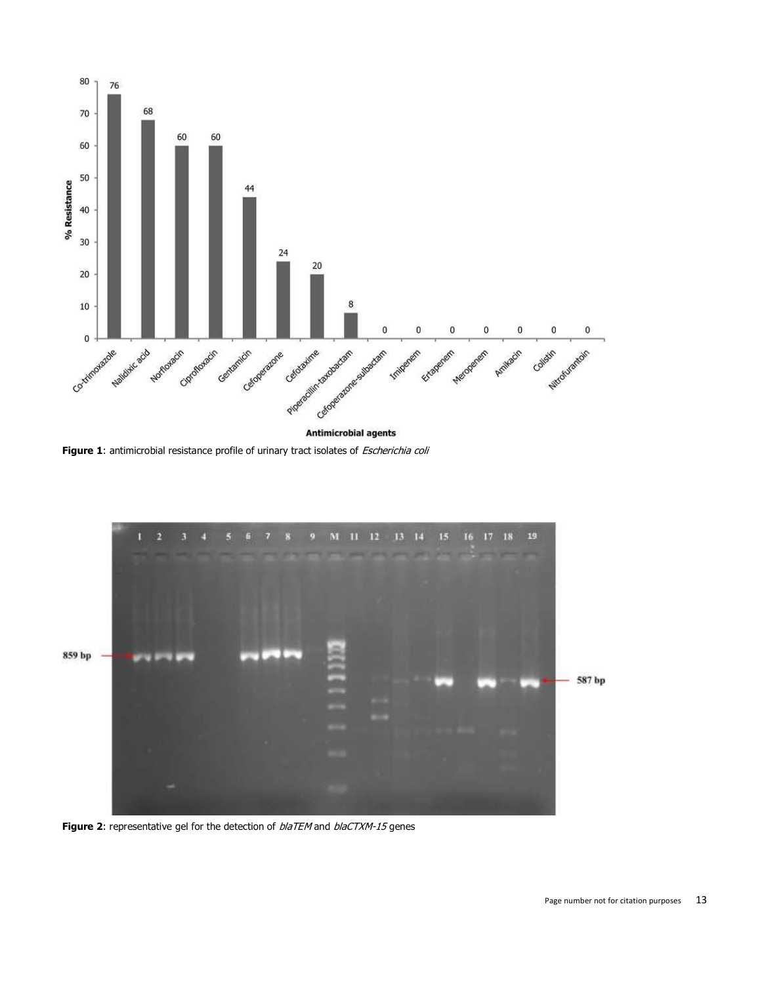

**[Figure](javascript:PopupFigure() 1**: antimicrobial resistance profile of urinary tract isolates of *Escherichia coli* 



[Figure](javascript:PopupFigure() 2: representative gel for the detection of  $blaTEM$  and  $blaCTXM-15$  genes